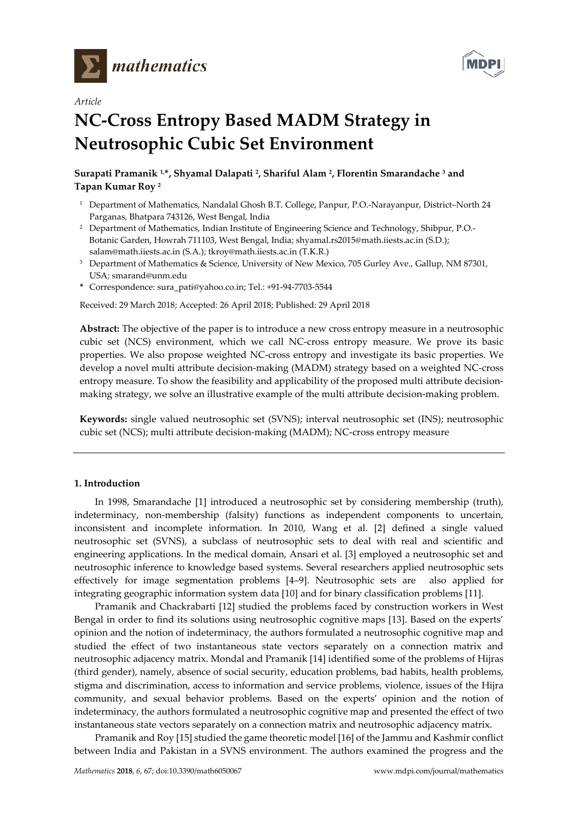

*Article*



# **NC-Cross Entropy Based MADM Strategy in Neutrosophic Cubic Set Environment**

# **Surapati Pramanik 1, \*, Shyamal Dalapati 2, Shariful Alam 2, Florentin Smarandache 3 and Tapan Kumar Roy 2**

- <sup>1</sup> Department of Mathematics, Nandalal Ghosh B.T. College, Panpur, P.O.-Narayanpur, District-North 24 Parganas, Bhatpara 743126, West Bengal, India
- <sup>2</sup> Department of Mathematics, Indian Institute of Engineering Science and Technology, Shibpur, P.O.-Botanic Garden, Howrah 711103, West Bengal, India; [shyamal.rs2015@math.iiests.ac.in](mailto:shyamal.rs2015@math.iiests.ac.in) (S.D.); salam@math.iiests.ac.in (S.A.); t[kroy@m](mailto:roy@)ath.iiests.ac.in (T.K.R.)
- <sup>3</sup> Department of Mathematics & Science, University of New Mexico, 705 Gurley Ave., Gallup, NM 87301, USA; smarand@unm.edu
- **\*** Correspondence: [sura\\_pati@yahoo.co.in;](mailto:sura_pati@yahoo.co.in) Tel.: +91-94-7703-5544

Received: 29 March 2018; Accepted: 26 April 2018; Published: 29 April 2018

**Abstract:** The objective of the paper is to introduce a new cross entropy measure in a neutrosophic cubic set (NCS) environment, which we call NC-cross entropy measure. We prove its basic properties. We also propose weighted NC-cross entropy and investigate its basic properties. We develop a novel multi attribute decision-making (MADM) strategy based on a weighted NC-cross entropy measure. To show the feasibility and applicability of the proposed multi attribute decisionmaking strategy, we solve an illustrative example of the multi attribute decision-making problem.

**Keywords:** single valued neutrosophic set (SVNS); interval neutrosophic set (INS); neutrosophic cubic set (NCS); multi attribute decision-making (MADM); NC-cross entropy measure

# **1. Introduction**

In 1998, Smarandache [1] introduced a neutrosophic set by considering membership (truth), indeterminacy, non-membership (falsity) functions as independent components to uncertain, inconsistent and incomplete information. In 2010, Wang et al. [2] defined a single valued neutrosophic set (SVNS), a subclass of neutrosophic sets to deal with real and scientific and engineering applications. In the medical domain, Ansari et al. [3] employed a neutrosophic set and neutrosophic inference to knowledge based systems. Several researchers applied neutrosophic sets effectively for image segmentation problems [4–9]. Neutrosophic sets are also applied for integrating geographic information system data [10] and for binary classification problems [11].

Pramanik and Chackrabarti [12] studied the problems faced by construction workers in West Bengal in order to find its solutions using neutrosophic cognitive maps [13]. Based on the experts' opinion and the notion of indeterminacy, the authors formulated a neutrosophic cognitive map and studied the effect of two instantaneous state vectors separately on a connection matrix and neutrosophic adjacency matrix. Mondal and Pramanik [14] identified some of the problems of Hijras (third gender), namely, absence of social security, education problems, bad habits, health problems, stigma and discrimination, access to information and service problems, violence, issues of the Hijra community, and sexual behavior problems. Based on the experts' opinion and the notion of indeterminacy, the authors formulated a neutrosophic cognitive map and presented the effect of two instantaneous state vectors separately on a connection matrix and neutrosophic adjacency matrix.

Pramanik and Roy [15] studied the game theoretic model [16] of the Jammu and Kashmir conflict between India and Pakistan in a SVNS environment. The authors examined the progress and the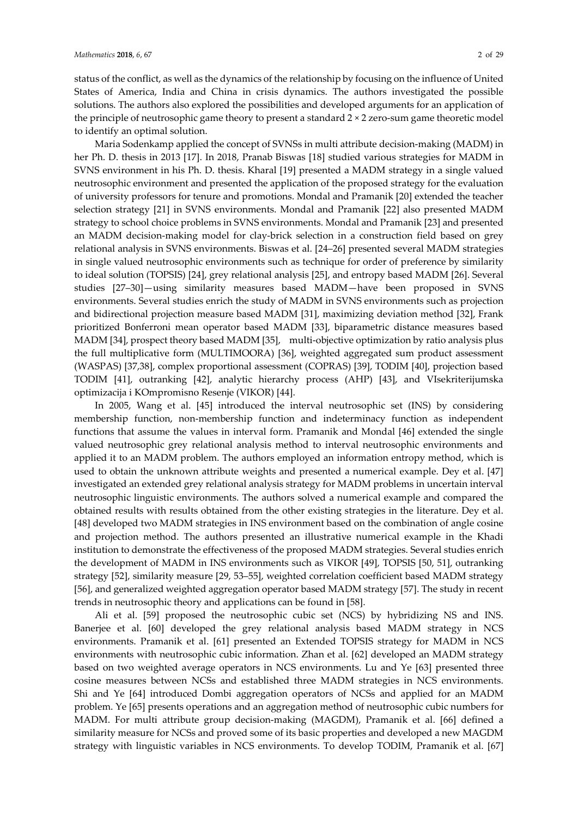status of the conflict, as well as the dynamics of the relationship by focusing on the influence of United States of America, India and China in crisis dynamics. The authors investigated the possible solutions. The authors also explored the possibilities and developed arguments for an application of the principle of neutrosophic game theory to present a standard 2 × 2 zero-sum game theoretic model to identify an optimal solution.

Maria Sodenkamp applied the concept of SVNSs in multi attribute decision-making (MADM) in her Ph. D. thesis in 2013 [17]. In 2018, Pranab Biswas [18] studied various strategies for MADM in SVNS environment in his Ph. D. thesis. Kharal [19] presented a MADM strategy in a single valued neutrosophic environment and presented the application of the proposed strategy for the evaluation of university professors for tenure and promotions. Mondal and Pramanik [20] extended the teacher selection strategy [21] in SVNS environments. Mondal and Pramanik [22] also presented MADM strategy to school choice problems in SVNS environments. Mondal and Pramanik [23] and presented an MADM decision-making model for clay-brick selection in a construction field based on grey relational analysis in SVNS environments. Biswas et al. [24–26] presented several MADM strategies in single valued neutrosophic environments such as technique for order of preference by similarity to ideal solution (TOPSIS) [24], grey relational analysis [25], and entropy based MADM [26]. Several studies [27–30]—using similarity measures based MADM—have been proposed in SVNS environments. Several studies enrich the study of MADM in SVNS environments such as projection and bidirectional projection measure based MADM [31], maximizing deviation method [32], Frank prioritized Bonferroni mean operator based MADM [33], biparametric distance measures based MADM [34], prospect theory based MADM [35], multi-objective optimization by ratio analysis plus the full multiplicative form (MULTIMOORA) [36], weighted aggregated sum product assessment (WASPAS) [37,38], complex proportional assessment (COPRAS) [39], TODIM [40], projection based TODIM [41], outranking [42], [analytic hierarchy process \(](https://en.wikipedia.org/wiki/Analytic_hierarchy_process)AHP) [43], and VIsekriterijumska optimizacija i KOmpromisno Resenje (VIKOR) [44].

In 2005, Wang et al. [45] introduced the interval neutrosophic set (INS) by considering membership function, non-membership function and indeterminacy function as independent functions that assume the values in interval form. Pramanik and Mondal [46] extended the single valued neutrosophic grey relational analysis method to interval neutrosophic environments and applied it to an MADM problem. The authors employed an information entropy method, which is used to obtain the unknown attribute weights and presented a numerical example. Dey et al. [47] investigated an extended grey relational analysis strategy for MADM problems in uncertain interval neutrosophic linguistic environments. The authors solved a numerical example and compared the obtained results with results obtained from the other existing strategies in the literature. Dey et al. [48] developed two MADM strategies in INS environment based on the combination of angle cosine and projection method. The authors presented an illustrative numerical example in the Khadi institution to demonstrate the effectiveness of the proposed MADM strategies. Several studies enrich the development of MADM in INS environments such as VIKOR [49], TOPSIS [50, 51], outranking strategy [52], similarity measure [29, 53–55], weighted correlation coefficient based MADM strategy [56], and generalized weighted aggregation operator based MADM strategy [57]. The study in recent trends in neutrosophic theory and applications can be found in [58].

Ali et al. [59] proposed the neutrosophic cubic set (NCS) by hybridizing NS and INS. Banerjee et al. [60] developed the grey relational analysis based MADM strategy in NCS environments. Pramanik et al. [61] presented an Extended TOPSIS strategy for MADM in NCS environments with neutrosophic cubic information. Zhan et al. [62] developed an MADM strategy based on two weighted average operators in NCS environments. Lu and Ye [63] presented three cosine measures between NCSs and established three MADM strategies in NCS environments. Shi and Ye [64] introduced Dombi aggregation operators of NCSs and applied for an MADM problem. Ye [65] presents operations and an aggregation method of neutrosophic cubic numbers for MADM. For multi attribute group decision-making (MAGDM), Pramanik et al. [66] defined a similarity measure for NCSs and proved some of its basic properties and developed a new MAGDM strategy with linguistic variables in NCS environments. To develop TODIM, Pramanik et al. [67]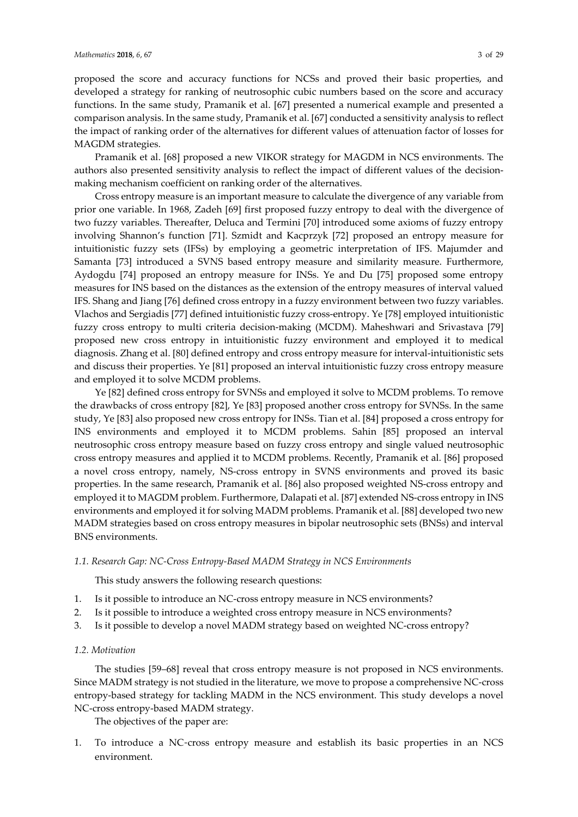Pramanik et al. [68] proposed a new VIKOR strategy for MAGDM in NCS environments. The authors also presented sensitivity analysis to reflect the impact of different values of the decisionmaking mechanism coefficient on ranking order of the alternatives.

Cross entropy measure is an important measure to calculate the divergence of any variable from prior one variable. In 1968, Zadeh [69] first proposed fuzzy entropy to deal with the divergence of two fuzzy variables. Thereafter, Deluca and Termini [70] introduced some axioms of fuzzy entropy involving Shannon's function [71]. Szmidt and Kacprzyk [72] proposed an entropy measure for intuitionistic fuzzy sets (IFSs) by employing a geometric interpretation of IFS. Majumder and Samanta [73] introduced a SVNS based entropy measure and similarity measure. Furthermore, Aydogdu [74] proposed an entropy measure for INSs. Ye and Du [75] proposed some entropy measures for INS based on the distances as the extension of the entropy measures of interval valued IFS. Shang and Jiang [76] defined cross entropy in a fuzzy environment between two fuzzy variables. Vlachos and Sergiadis [77] defined intuitionistic fuzzy cross-entropy. Ye [78] employed intuitionistic fuzzy cross entropy to multi criteria decision-making (MCDM). Maheshwari and Srivastava [79] proposed new cross entropy in intuitionistic fuzzy environment and employed it to medical diagnosis. Zhang et al. [80] defined entropy and cross entropy measure for interval-intuitionistic sets and discuss their properties. Ye [81] proposed an interval intuitionistic fuzzy cross entropy measure and employed it to solve MCDM problems.

Ye [82] defined cross entropy for SVNSs and employed it solve to MCDM problems. To remove the drawbacks of cross entropy [82], Ye [83] proposed another cross entropy for SVNSs. In the same study, Ye [83] also proposed new cross entropy for INSs. Tian et al. [84] proposed a cross entropy for INS environments and employed it to MCDM problems. Sahin [85] proposed an interval neutrosophic cross entropy measure based on fuzzy cross entropy and single valued neutrosophic cross entropy measures and applied it to MCDM problems. Recently, Pramanik et al. [86] proposed a novel cross entropy, namely, NS-cross entropy in SVNS environments and proved its basic properties. In the same research, Pramanik et al. [86] also proposed weighted NS-cross entropy and employed it to MAGDM problem. Furthermore, Dalapati et al. [87] extended NS-cross entropy in INS environments and employed it for solving MADM problems. Pramanik et al. [88] developed two new MADM strategies based on cross entropy measures in bipolar neutrosophic sets (BNSs) and interval BNS environments.

#### *1.1. Research Gap: NC-Cross Entropy-Based MADM Strategy in NCS Environments*

This study answers the following research questions:

- 1. Is it possible to introduce an NC-cross entropy measure in NCS environments?
- 2. Is it possible to introduce a weighted cross entropy measure in NCS environments?
- 3. Is it possible to develop a novel MADM strategy based on weighted NC-cross entropy?

#### *1.2. Motivation*

The studies [59–68] reveal that cross entropy measure is not proposed in NCS environments. Since MADM strategy is not studied in the literature, we move to propose a comprehensive NC-cross entropy-based strategy for tackling MADM in the NCS environment. This study develops a novel NC-cross entropy-based MADM strategy.

The objectives of the paper are:

1. To introduce a NC-cross entropy measure and establish its basic properties in an NCS environment.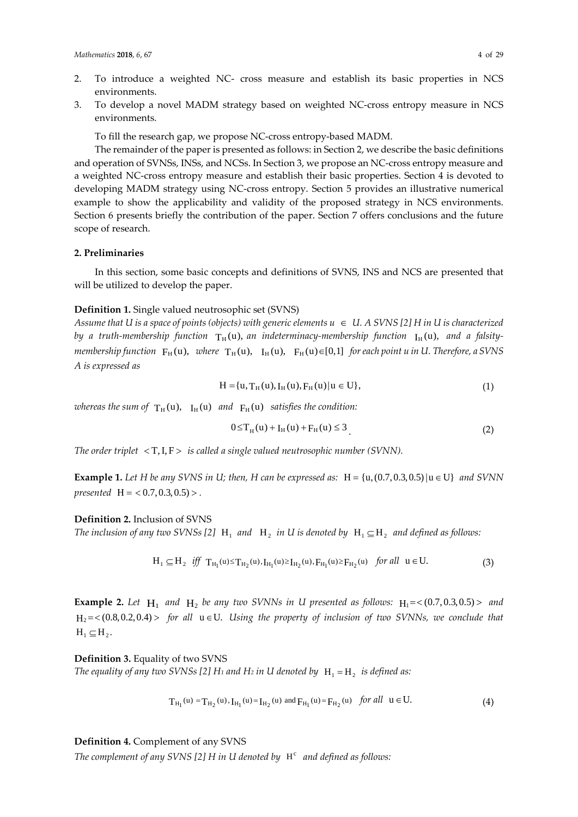- 2. To introduce a weighted NC- cross measure and establish its basic properties in NCS environments.
- 3. To develop a novel MADM strategy based on weighted NC-cross entropy measure in NCS environments.

To fill the research gap, we propose NC-cross entropy-based MADM.

The remainder of the paper is presented as follows: in Section 2, we describe the basic definitions and operation of SVNSs, INSs, and NCSs. In Section 3, we propose an NC-cross entropy measure and a weighted NC-cross entropy measure and establish their basic properties. Section 4 is devoted to developing MADM strategy using NC-cross entropy. Section 5 provides an illustrative numerical example to show the applicability and validity of the proposed strategy in NCS environments. Section 6 presents briefly the contribution of the paper. Section 7 offers conclusions and the future scope of research.

# **2. Preliminaries**

In this section, some basic concepts and definitions of SVNS, INS and NCS are presented that will be utilized to develop the paper.

#### **Definition 1.** Single valued neutrosophic set (SVNS)

*Assume that U is a space of points (objects) with generic elements*  $u \in U$ *. A SVNS [2] H in U is characterized* by a truth-membership function  $T_H(u)$ , an indeterminacy-membership function  $I_H(u)$ , and a falsity*membership function*  $F_H(u)$ , *where*  $T_H(u)$ ,  $I_H(u)$ ,  $F_H(u) \in [0,1]$  *for each point u in U. Therefore, a SVNS A is expressed as* 

$$
H = \{u, T_H(u), I_H(u), F_H(u) | u \in U\},\tag{1}
$$

*whereas the sum of*  $T_H(u)$ ,  $I_H(u)$  *and*  $F_H(u)$  *satisfies the condition:* 

$$
0 \le T_H(u) + I_H(u) + F_H(u) \le 3
$$
\n(2)

*The order triplet* < T,I, F > *is called a single valued neutrosophic number (SVNN).*

**Example 1.** *Let H be any SVNS in U; then, H can be expressed as:*  $H = \{u, (0.7, 0.3, 0.5) | u \in U\}$  *and SVNN presented*  $H = \langle 0.7, 0.3, 0.5 \rangle$ 

#### **Definition 2.** Inclusion of SVNS

*The inclusion of any two SVNSs* [2]  $H_1$  *and*  $H_2$  *in U is denoted by*  $H_1 \subseteq H_2$  *and defined as follows:* 

$$
H_1 \subseteq H_2 \ \ \text{iff} \ \ T_{H_1}(u) \le T_{H_2}(u), I_{H_1}(u) \ge I_{H_2}(u), F_{H_1}(u) \ge F_{H_2}(u) \ \ \text{for all} \ \ u \in U. \tag{3}
$$

**Example 2.** Let  $H_1$  and  $H_2$  be any two SVNNs in U presented as follows:  $H_1 = < (0.7, 0.3, 0.5) >$  and  $H_2 = \langle (0.8, 0.2, 0.4) \rangle$  for all  $u \in U$ . Using the property of inclusion of two SVNNs, we conclude that  $H_1 \subseteq H_2$ .

**Definition 3.** Equality of two SVNS

*The equality of any two SVNSs* [2]  $H_1$  *and*  $H_2$  *in U denoted by*  $H_1 = H_2$  *is defined as:* 

$$
T_{H_1}(u) = T_{H_2}(u), I_{H_1}(u) = I_{H_2}(u) \text{ and } F_{H_1}(u) = F_{H_2}(u) \text{ for all } u \in U. \tag{4}
$$

#### **Definition 4.** Complement of any SVNS

*The complement of any SVNS* [2] *H* in *U* denoted by  $H<sup>c</sup>$  and defined as follows: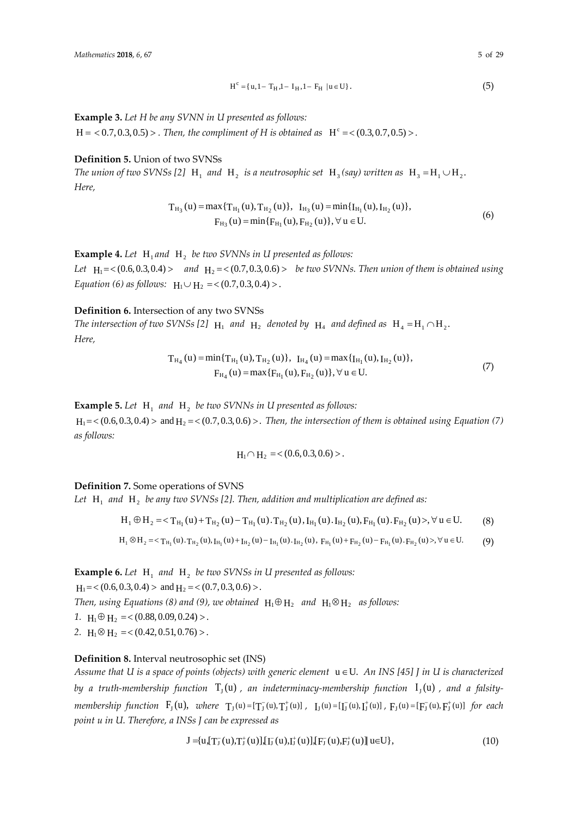$$
H^{c} = \{ u, 1 - T_{H}, 1 - I_{H}, 1 - F_{H} \mid u \in U \}.
$$
 (5)

**Example 3.** *Let H be any SVNN in U presented as follows:*

 $H = 0.7, 0.3, 0.5) >$  *. Then, the compliment of H is obtained as*  $H^c = 0.3, 0.7, 0.5) >$ *.* 

# **Definition 5.** Union of two SVNSs

*The union of two SVNSs* [2]  $H_1$  *and*  $H_2$  *is a neutrosophic set*  $H_3$  *(say) written as*  $H_3 = H_1 \cup H_2$ . *Here,* 

$$
T_{H_3}(u) = \max\{T_{H_1}(u), T_{H_2}(u)\}, \quad I_{H_3}(u) = \min\{I_{H_1}(u), I_{H_2}(u)\},
$$
  
\n
$$
F_{H_3}(u) = \min\{F_{H_1}(u), F_{H_2}(u)\}, \forall u \in U.
$$
\n(6)

**Example 4.** Let  $H_1$  and  $H_2$  be two SVNNs in U presented as follows:

*Let*  $H_1 = \langle (0.6, 0.3, 0.4) \rangle$  and  $H_2 = \langle (0.7, 0.3, 0.6) \rangle$  *be two SVNNs. Then union of them is obtained using Equation* (6) as follows:  $H_1 \cup H_2 = \langle (0.7, 0.3, 0.4) \rangle$ .

#### **Definition 6.** Intersection of any two SVNSs

*The intersection of two SVNSs* [2]  $H_1$  *and*  $H_2$  *denoted by*  $H_4$  *and defined as*  $H_4 = H_1 \cap H_2$ . *Here,* 

$$
T_{H_4}(u) = min\{T_{H_1}(u), T_{H_2}(u)\}, \quad I_{H_4}(u) = max\{I_{H_1}(u), I_{H_2}(u)\},
$$
  
\n
$$
F_{H_4}(u) = max\{F_{H_1}(u), F_{H_2}(u)\}, \forall u \in U.
$$
\n(7)

**Example 5.** Let  $H_1$  and  $H_2$  be two SVNNs in U presented as follows:  $H_1 = \langle (0.6, 0.3, 0.4) \rangle$  and  $H_2 = \langle (0.7, 0.3, 0.6) \rangle$ . Then, the intersection of them is obtained using Equation (7) *as follows:*

$$
H_1 \cap H_2 = \langle (0.6, 0.3, 0.6) \rangle.
$$

# **Definition 7.** Some operations of SVNS

Let  $H_1$  and  $H_2$  *be any two SVNSs* [2]. Then, addition and multiplication are defined as:

$$
H_1 \oplus H_2 =  \forall u \in U. \tag{8}
$$

$$
H_1 \otimes H_2 = \langle T_{H_1}(u).T_{H_2}(u), I_{H_1}(u) + I_{H_2}(u) - I_{H_1}(u).I_{H_2}(u), F_{H_1}(u) + F_{H_2}(u) - F_{H_1}(u).F_{H_2}(u) \rangle, \forall u \in U. \tag{9}
$$

**Example 6.** Let  $H_1$  and  $H_2$  be two SVNSs in U presented as follows:  $H_1 = \langle (0.6, 0.3, 0.4) \rangle$  and  $H_2 = \langle (0.7, 0.3, 0.6) \rangle$ . *Then, using Equations* (8) and (9), we obtained  $H_1 \oplus H_2$  *and*  $H_1 \otimes H_2$  *as follows: 1.*  $H_1 \oplus H_2 = \langle 0.88, 0.09, 0.24 \rangle$ . 2.  $H_1 \otimes H_2 = \langle 0.42, 0.51, 0.76 \rangle$ .

# **Definition 8.** Interval neutrosophic set (INS)

*Assume that U is a space of points (objects) with generic element* u ∈U. *An INS [45] J in U is characterized by a truth-membership function*  $T<sub>1</sub>(u)$ , *an indeterminacy-membership function*  $I<sub>1</sub>(u)$ , *and a falsity-* $\emph{membership function}$   $F_J(u)$ ,  $\emph{where}$   $T_J(u) = [T_J^-(u), T_J^+(u)]$ ,  $I_J(u) = [I_J^-(u), I_J^+(u)]$ ,  $F_J(u) = [F_J^-(u), F_J^+(u)]$  for each *point u in U. Therefore, a INSs J can be expressed as*

$$
J = {u, [T_J^-(u), T_J^+(u)], [T_J^-(u), I_J^+(u)], [F_J^-(u), F_J^+(u)] \cup U}, \qquad (10)
$$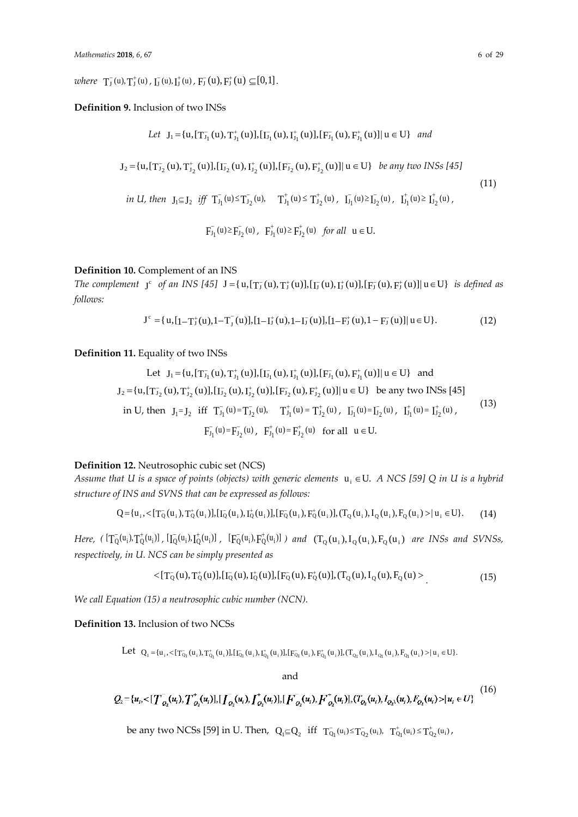*where*  $T_J^-(u), T_J^+(u)$ ,  $T_J^-(u), T_J^+(u)$ ,  $F_J^-(u), F_J^+(u) \subseteq [0,1]$ .

### **Definition 9.** Inclusion of two INSs

Let 
$$
J_1 = \{u, [T_{J_1}^-(u), T_{J_1}^+(u)], [T_{J_1}^-(u), T_{J_1}^+(u)], [F_{J_1}^-(u), F_{J_1}^+(u)]| u \in U\}
$$
 and  
\n $J_2 = \{u, [T_{J_2}^-(u), T_{J_2}^+(u)], [T_{J_2}^-(u), T_{J_2}^+(u)], [F_{J_2}^-(u), F_{J_2}^+(u)]| u \in U\}$  be any two INSS [45]  
\nin U, then  $J_1 \subseteq J_2$  iff  $T_{J_1}^-(u) \le T_{J_2}^-(u)$ ,  $T_{J_1}^+(u) \le T_{J_2}^+(u)$ ,  $T_{J_1}^+(u) \ge T_{J_2}^+(u)$ ,  $T_{J_1}^+(u) \ge T_{J_2}^+(u)$ ,  $F_{J_1}^-(u) \ge F_{J_2}^-(u)$ ,  $F_{J_1}^+(u) \ge F_{J_2}^+(u)$  for all  $u \in U$ .

# **Definition 10.** Complement of an INS

*The complement*  $J^c$  *of an INS* [45]  $J = \{u, [T_J(u), T_J^+(u)], [I_J^-(u), I_J^+(u)], [F_J^-(u), F_J^+(u)] | u \in U\}$  *is defined as follows:*

$$
J^{c} = \{ u, [1 - T_{J}^{+}(u), 1 - T_{J}^{-}(u)], [1 - I_{J}^{+}(u), 1 - I_{J}^{-}(u)], [1 - F_{J}^{+}(u), 1 - F_{J}^{-}(u)] | u \in U \}. \tag{12}
$$

# **Definition 11.** Equality of two INSs

Let 
$$
J_1 = \{u, [\mathbf{T}_{J_1}^-(u), \mathbf{T}_{J_1}^+(u)], [\mathbf{I}_{J_1}^-(u), \mathbf{I}_{J_1}^+(u)], [\mathbf{F}_{J_1}^-(u), \mathbf{F}_{J_1}^+(u)]| u \in U\}
$$
 and  
\n $J_2 = \{u, [\mathbf{T}_{J_2}^-(u), \mathbf{T}_{J_2}^+(u)], [\mathbf{I}_{J_2}^-(u), \mathbf{I}_{J_2}^+(u)], [\mathbf{F}_{J_2}^-(u), \mathbf{F}_{J_2}^+(u)]| u \in U\}$  be any two INSs [45]  
\nin U, then  $J_1 = J_2$  iff  $\mathbf{T}_{J_1}^-(u) = \mathbf{T}_{J_2}^-(u)$ ,  $\mathbf{T}_{J_1}^+(u) = \mathbf{T}_{J_2}^+(u)$ ,  $\mathbf{I}_{J_1}^-(u) = \mathbf{I}_{J_2}^-(u)$ ,  $\mathbf{I}_{J_1}^+(u) = \mathbf{I}_{J_2}^+(u)$ ,  
\n
$$
\mathbf{F}_{J_1}^-(u) = \mathbf{F}_{J_2}^-(u)
$$
,  $\mathbf{F}_{J_1}^+(u) = \mathbf{F}_{J_2}^+(u)$  for all  $u \in U$ .  
\n(13)

# **Definition 12.** Neutrosophic cubic set (NCS)

*Assume that U is a space of points (objects) with generic elements*  $u_i \in U$ . A NCS [59] Q in U is a hybrid *structure of INS and SVNS that can be expressed as follows:*

$$
Q = {ui, <[TQ(ui), TQ(ui)], [IQ(ui), IQ(ui)], [FQ(ui), FQ(ui), TQ(ui), IQ(ui), FQ(ui) > |ui ∈ U}. (14)
$$

*Here,* ( $[T_0(u_i), T_0^+(u_i)]$ ,  $[I_0(u_i), I_0^+(u_i)]$ ,  $[F_0(u_i), F_0^+(u_i)]$ ) and  $(T_0(u_i), I_0(u_i), F_0(u_i)$  are INSs and SVNSs, *respectively, in U. NCS can be simply presented as*

$$
\langle [T_{Q}(u), T_{Q}^{+}(u)], [I_{Q}^{-}(u), I_{Q}^{+}(u)], [F_{Q}^{-}(u), F_{Q}^{+}(u)], (T_{Q}(u), I_{Q}^{-}(u), F_{Q}^{-}(u) \rangle \tag{15}
$$

*We call Equation (15) a neutrosophic cubic number (NCN).*

#### **Definition 13.** Inclusion of two NCSs

 $\text{Let } \text{ } \text{ }Q_{_{1}}=\{u_{_{1}}, <[\text{T}_{Q_{1}}^{-}(u_{_{i}}),\text{T}_{Q_{1}}^{+}(u_{_{i}})], [\text{I}_{Q_{1}}^{-}(u_{_{i}}),\text{I}_{Q_{1}}^{+}(u_{_{i}})], [\text{F}_{Q_{1}}^{-}(u_{_{i}}),\text{F}_{Q_{1}}^{+}(u_{_{i}})], [\text{T}_{Q_{1}}^{-}(u_{_{i}}),\text{I}_{Q_{1}}^{-}(u_{_{i}}),\text{F}_{Q_{1}}^{-}(u_{_{i}}) > | \text{ } u_{_{i}} \in \text{U} \}.$ 

and

$$
Q_2 = \{u_i, \langle [T_{Q_2}(u_i), T_{Q_2}^+(u_i)], [T_{Q_2}(u_i), T_{Q_2}^+(u_i)], [F_{Q_2}(u_i), F_{Q_2}^+(u_i)], (T_{Q_2}(u_i), T_{Q_2}(u_i), F_{Q_2}(u_i)\rangle | u_i \in U\}
$$
\n(16)

be any two NCSs [59] in U. Then,  $Q_1 \subseteq Q_2$  iff  $T_{Q_1}^-(u_i) \le T_{Q_2}^-(u_i)$ ,  $T_{Q_1}^+(u_i) \le T_{Q_2}^+(u_i)$ ,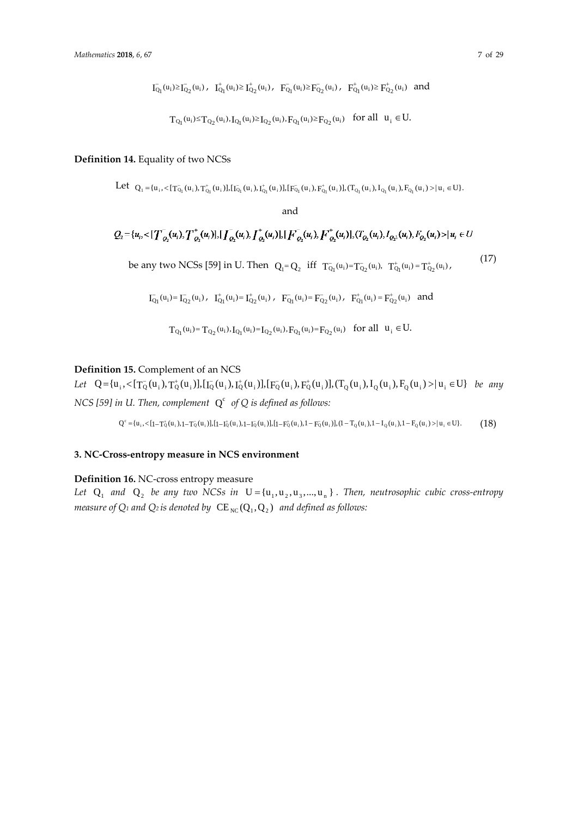$$
\bar{I_{Q_1}}(u_i) \geq \bar{I_{Q_2}}(u_i) , \quad \bar{I_{Q_1}^+}(u_i) \geq \bar{I_{Q_2}^+}(u_i) , \quad \bar{F_{Q_1}^-}(u_i) \geq \bar{F_{Q_2}^-}(u_i) , \quad \bar{F_{Q_1}^+}(u_i) \geq \bar{F_{Q_2}^+}(u_i) \quad \text{and}
$$

$$
T_{Q_1}(u_i) \!\!\leq\! T_{Q_2}(u_i), I_{Q_1}(u_i) \!\!\geq\! I_{Q_2}(u_i), F_{Q_1}(u_i) \!\geq\! F_{Q_2}(u_i) \quad for \; all \ \ u_i \in U.
$$

# **Definition 14.** Equality of two NCSs

 $\text{Let } \text{ } \text{ }Q_1=\{u_i,<[\text{T}^-_{Q_1}(u_i),\text{T}^+_{Q_1}(u_i)],[\text{I}^-_{Q_1}(u_i),\text{I}^+_{Q_1}(u_i)],[\text{F}^-_{Q_1}(u_i),\text{F}^+_{Q_1}(u_i)],(\text{T}^-_{Q_1}(u_i),\text{I}^-_{Q_1}(u_i),\text{F}^-_{Q_1}(u_i))=:\mu_i\in\mathbb{U}\}.$ 

and

$$
Q_2 = \{u_1, \langle T_{Q_2}(u_1), T_{Q_2}(u_1), [T_{Q_2}(u_1), T_{Q_2}(u_1)], [F_{Q_2}(u_1), F_{Q_2}(u_1)], [T_{Q_2}(u_1), T_{Q_2}(u_1), F_{Q_2}(u_1) < |u_1 \in U \}
$$
\nbe any two NCSS [59] in U. Then  $Q_1 = Q_2$  iff  $T_{Q_1}(u_1) = T_{Q_2}(u_1)$ ,  $T_{Q_1}(u_1) = T_{Q_2}(u_1)$ , (17)

$$
\bar{I_{Q_1}}(u_i) = \bar{I_{Q_2}}(u_i) \text{ , } \ \ I_{Q_1}^+(u_i) = \bar{I_{Q_2}}(u_i) \text{ , } \ \ \bar{F_{Q_1}}(u_i) = \bar{F_{Q_2}}(u_i) \text{ , } \ \ \bar{F_{Q_1}^+(u_i)} = \bar{F_{Q_2}^+(u_i)} \text{ and }
$$

$$
T_{Q_1}(u_i) = T_{Q_2}(u_i), I_{Q_1}(u_i) = I_{Q_2}(u_i), F_{Q_1}(u_i) = F_{Q_2}(u_i) \text{ for all } u_i \in U.
$$

# **Definition 15.** Complement of an NCS

*Let*  $Q = {u_i, \langle [T_Q(u_i), T_Q^+(u_i)], [T_Q(u_i), T_Q^+(u_i)], [F_Q(u_i), F_Q^+(u_i)], (T_Q(u_i), T_Q(u_i), F_Q(u_i) > | u_i \in U}$  *be any NCS* [59] in U. Then, complement  $Q^c$  of Q is defined as follows:

 $Q^c = \{u_i, \langle [1 - T_Q^+(u_i), 1 - T_Q^-(u_i)] , [1 - T_Q^+(u_i), 1 - T_Q^-(u_i)] , [1 - F_Q^+(u_i), 1 - F_Q^-(u_i)], [1 - T_Q^-(u_i), 1 - T_Q^-(u_i), 1 - F_Q^-(u_i)] \rangle | u_i \in U \}.$ 

# **3. NC-Cross-entropy measure in NCS environment**

#### **Definition 16.** NC-cross entropy measure

Let  $Q_1$  *and*  $Q_2$  *be any two* NCSs in  $U = \{u_1, u_2, u_3, ..., u_n\}$ . Then, neutrosophic cubic cross-entropy *measure of*  $Q_1$  *and*  $Q_2$  *is denoted by*  $CE_{NC}(Q_1, Q_2)$  *and defined as follows:*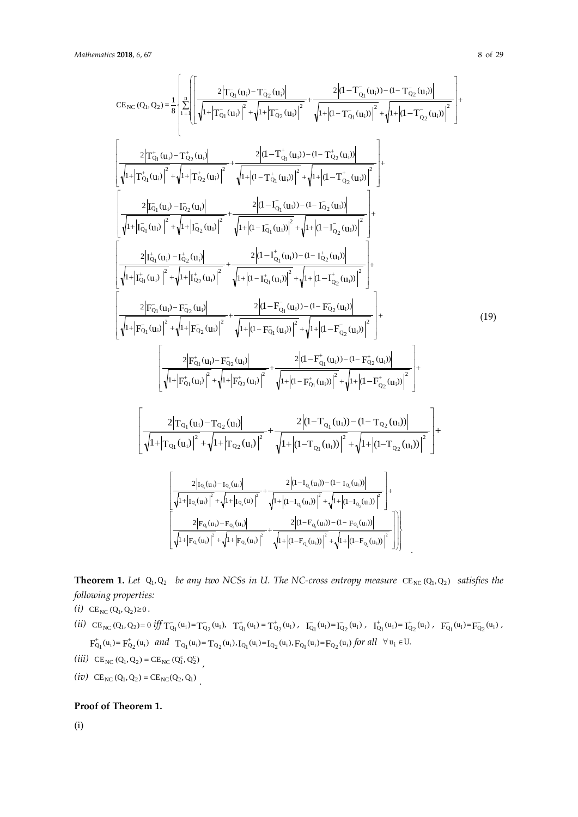$$
CE_{NC}(Q_{1}, Q_{2}) = \frac{1}{8} \left\{ \sum_{i=1}^{4} \left[ \frac{2 \left| T_{Q_{1}}^{+}(u_{i}) - T_{Q_{2}}^{+}(u_{i}) \right|^{2}}{\sqrt{1 + \left| T_{Q_{1}}^{+}(u_{i}) \right|^{2}} + \sqrt{1 + \left| T_{Q_{2}}^{+}(u_{i}) \right|^{2}} + \frac{2 \left| d - T_{Q_{1}}^{+}(u_{i}) \right|^{2} + \sqrt{1 + \left| d - T_{Q_{1}}^{+}(u_{i}) \right|^{2}} + \sqrt{1 + \left| d - T_{Q_{2}}^{+}(u_{i}) \right|^{2}} + \sqrt{1 + \left| d - T_{Q_{2}}^{+}(u_{i}) \right|^{2}} \right] + \frac{2 \left| T_{Q_{1}}^{+}(u_{i}) - T_{Q_{2}}^{+}(u_{i}) \right|^{2}}{\sqrt{1 + \left| T_{Q_{1}}^{+}(u_{i}) \right|^{2}} + \sqrt{1 + \left| d - T_{Q_{1}}^{+}(u_{i}) \right|^{2}} + \sqrt{1 + \left| d - T_{Q_{2}}^{+}(u_{i}) \right|^{2}} \right] + \frac{2 \left| \left| G_{1}(u_{i}) - G_{2}(u_{i}) \right|^{2}}{\sqrt{1 + \left| T_{Q_{1}}^{+}(u_{i}) \right|^{2}} + \sqrt{1 + \left| d - T_{Q_{1}}^{+}(u_{i}) \right|^{2}} + \sqrt{1 + \left| d - T_{Q_{2}}^{+}(u_{i}) \right|^{2}} \right] + \frac{2 \left| d - T_{Q_{1}}^{+}(u_{i}) - d - T_{Q_{2}}^{+}(u_{i}) \right|^{2}}{\sqrt{1 + \left| T_{Q_{1}}^{+}(u_{i}) \right|^{2}} + \sqrt{1 + \left| d - T_{Q_{1}}^{+}(u_{i}) \right|^{2}} + \sqrt{1 + \left| d - T_{Q_{2}}^{+}(u_{i}) \right|^{2}} \right] + \frac{2 \left| d - T_{Q_{1}}^{+}(u_{i}) - d - T_{Q_{2}}^{+}(u_{i}) \right|^{2}}{\sqrt{1 + \left| T_{Q_{1}}^{+}(u_{i}) \right|^{2}} + \sqrt{1 + \left| d - T_{Q_{1}}^{+}(u_{i}) \right|^{2}} + \sqrt{1 + \left| d - T_{
$$

**Theorem 1.** Let  $Q_1, Q_2$  *be any two NCSs in U. The NC-cross entropy measure*  $CE_{NC}(Q_1, Q_2)$  *satisfies the following properties:* 

*(i)*  $CE_{NC} (Q_1, Q_2) \ge 0$ .

- $(i i) \quad \text{CE}_\text{NC}\left(\text{Q}_1, \text{Q}_2\right) = 0 \text{ iff } T^-_{\text{Q}_1}(\textbf{u}_i) = T^-_{\text{Q}_2}(\textbf{u}_i), \quad T^+_{\text{Q}_1}(\textbf{u}_i) = T^+_{\text{Q}_2}(\textbf{u}_i) \text{ , } \quad T^-_{\text{Q}_1}(\textbf{u}_i) = T^-_{\text{Q}_2}(\textbf{u}_i) \text{ , } \quad T^+_{\text{Q}_1}(\textbf{u}_i) = T^+_{\text{Q}_2}(\textbf{u}_i) \text{ , } \quad T^-_{\text$  $F^+_{Q_1}(u_i) = F^+_{Q_2}(u_i) \quad \text{and} \quad T_{Q_1}(u_i) = T_{Q_2}(u_i), \\ I_{Q_1}(u_i) = I_{Q_2}(u_i), \\ F_{Q_1}(u_i) = F_{Q_2}(u_i) \text{ for all } \quad \forall \, u_i \in U.$
- (*iii*)  $CE_{NC} (Q_1, Q_2) = CE_{NC} (Q_1^c, Q_2^c)$
- *(iv)*  $CE_{NC}(Q_1, Q_2) = CE_{NC}(Q_2, Q_1)$

# **Proof of Theorem 1.**

(i)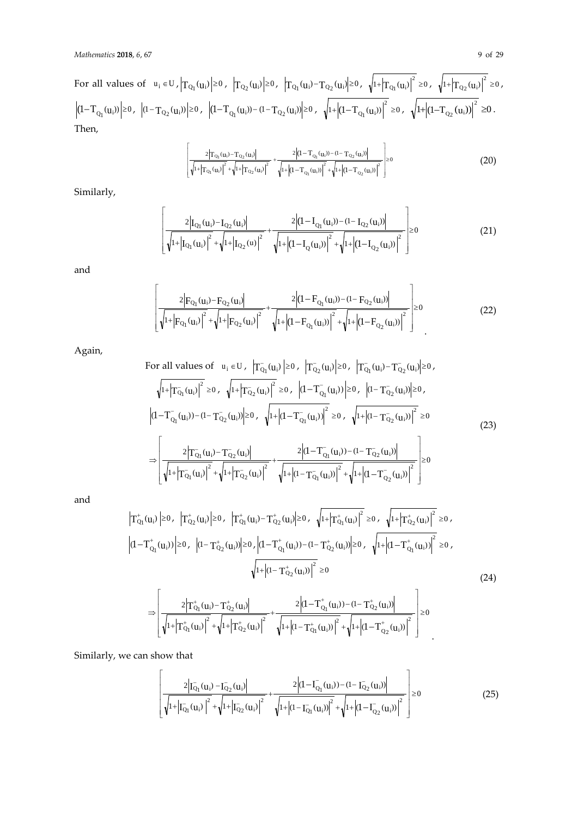For all values of  $u_i \in U$ ,  $|T_{Q_1}(u_i)| \ge 0$ ,  $|T_{Q_2}(u_i)| \ge 0$ ,  $|T_{Q_1}(u_i) - T_{Q_2}(u_i)| \ge 0$ ,  $\sqrt{1 + |T_{Q_1}(u_i)|^2} \ge 0$ ,  $\sqrt{1 + |T_{Q_2}(u_i)|^2} \ge 0$ ,  $(1-T_{Q_1}(u_i))\Biggl|{\geq}0\,,\;\; \Biggl|(1-T_{Q_2}(u_i))\Biggr|{\geq}0\,,\;\; \Biggl|(1-T_{Q_1}(u_i))- (1-T_{Q_2}(u_i))\Biggr|{\geq}0\,,\;\; \sqrt{1+}\Biggl|(1-T_{Q_1}(u_i))\Biggr|^2\geq0\,,\;\; \sqrt{1+}\Biggl|(1-T_{Q_2}(u_i))\Biggr|^2\geq0\,.$ Then,

$$
\left| \frac{2 \left| T_{Q_1}(u_i) - T_{Q_2}(u_i) \right|}{\sqrt{1 + \left| T_{Q_1}(u_i) \right|^2} + \sqrt{1 + \left| T_{Q_2}(u_i) \right|^2}} + \frac{2 \left| (1 - T_{Q_1}(u_i)) - (1 - T_{Q_2}(u_i)) \right|}{\sqrt{1 + \left| (1 - T_{Q_1}(u_i)) \right|^2} + \sqrt{1 + \left| (1 - T_{Q_2}(u_i)) \right|^2}} \right| \ge 0
$$
\n(20)

Similarly,

$$
\frac{2\left|I_{Q_1}(u_i)-I_{Q_2}(u_i)\right|}{\sqrt{1+\left|I_{Q_1}(u_i)\right|^2}+\sqrt{1+\left|I_{Q_2}(u)\right|^2}}+\frac{2\left|(1-I_{Q_1}(u_i))-(1-I_{Q_2}(u_i))\right|}{\sqrt{1+\left|(1-I_{Q}(u_i))\right|^2}+\sqrt{1+\left|(1-I_{Q_2}(u_i))\right|^2}}\Bigg| \ge 0
$$
\n(21)

and

$$
\frac{2\left|F_{Q_1}(u_i) - F_{Q_2}(u_i)\right|}{\sqrt{1 + \left|F_{Q_1}(u_i)\right|^2} + \sqrt{1 + \left|F_{Q_2}(u_i)\right|^2}} + \frac{2\left|(1 - F_{Q_1}(u_i)) - (1 - F_{Q_2}(u_i))\right|}{\sqrt{1 + \left|(1 - F_{Q_1}(u_i))\right|^2} + \sqrt{1 + \left|(1 - F_{Q_2}(u_i))\right|^2}}\right| \ge 0
$$
\n(22)

Again,

For all values of 
$$
u_i \in U
$$
,  $|T_{Q_1}(u_i)| \ge 0$ ,  $|T_{Q_2}(u_i)| \ge 0$ ,  $|T_{Q_1}(u_i) - T_{Q_2}(u_i)| \ge 0$ ,  
\n
$$
\sqrt{1+|T_{Q_1}(u_i)|^2} \ge 0, \quad \sqrt{1+|T_{Q_2}(u_i)|^2} \ge 0, \quad |(1-T_{Q_1}(u_i))| \ge 0, \quad |(1-T_{Q_2}(u_i))| \ge 0,
$$
\n
$$
|(1-T_{Q_1}(u_i)) - (1-T_{Q_2}(u_i))| \ge 0, \quad \sqrt{1+|(1-T_{Q_1}(u_i))|^2} \ge 0, \quad \sqrt{1+|(1-T_{Q_2}(u_i))|^2} \ge 0
$$
\n
$$
\Rightarrow \left[ \frac{2|T_{Q_1}(u_i) - T_{Q_2}(u_i)|}{\sqrt{1+|T_{Q_1}(u_i)|^2} + \sqrt{1+|T_{Q_2}(u_i)|^2} + \frac{2|(1-T_{Q_1}(u_i)) - (1-T_{Q_2}(u_i))|}{\sqrt{1+|(1-T_{Q_1}(u_i))|^2} + \sqrt{1+|(1-T_{Q_2}(u_i))|^2}} \right] \ge 0
$$
\n(23)

and

$$
\left|T_{Q_{1}}^{+}(u_{i})\right| \geq 0, \quad \left|T_{Q_{2}}^{+}(u_{i})\right| \geq 0, \quad \left|T_{Q_{1}}^{+}(u_{i})-T_{Q_{2}}^{+}(u_{i})\right| \geq 0, \quad \sqrt{1+\left|T_{Q_{1}}^{+}(u_{i})\right|^{2}} \geq 0, \quad \sqrt{1+\left|T_{Q_{2}}^{+}(u_{i})\right|^{2}} \geq 0, \quad \sqrt{1+\left|T_{Q_{2}}^{+}(u_{i})\right|^{2}} \geq 0, \quad \sqrt{1+\left|T_{Q_{1}}^{+}(u_{i})\right|^{2}} \geq 0, \quad \sqrt{1+\left|T_{Q_{1}}^{-}(u_{i})\right|^{2}} \geq 0, \quad \sqrt{1+\left|T_{Q_{1}}^{-}(u_{i})\right|^{2}} \geq 0, \quad \sqrt{1+\left|T_{Q_{1}}^{-}(u_{i})\right|^{2}} \geq 0, \quad \sqrt{1+\left|T_{Q_{2}}^{-}(u_{i})\right|^{2}} \geq 0, \quad \sqrt{1+\left|T_{Q_{2}}^{-}(u_{i})\right|^{2}} \geq 0, \quad \sqrt{1+\left|T_{Q_{2}}^{-}(u_{i})\right|^{2}} \geq 0, \quad \sqrt{1+\left|T_{Q_{2}}^{-}(u_{i})\right|^{2}} \geq 0, \quad \sqrt{1+\left|T_{Q_{2}}^{-}(u_{i})\right|^{2}} \geq 0, \quad \sqrt{1+\left|T_{Q_{2}}^{-}(u_{i})\right|^{2}} \geq 0, \quad \sqrt{1+\left|T_{Q_{2}}^{-}(u_{i})\right|^{2}} \geq 0, \quad \sqrt{1+\left|T_{Q_{2}}^{-}(u_{i})\right|^{2}} \geq 0, \quad \sqrt{1+\left|T_{Q_{2}}^{-}(u_{i})\right|^{2}} \geq 0, \quad \sqrt{1+\left|T_{Q_{2}}^{-}(u_{i})\right|^{2}} \geq 0, \quad \sqrt{1+\left|T_{Q_{2}}^{-}(u_{i})\right|^{2}} \geq 0, \quad \sqrt{1+\left|T_{Q_{2}}^{-}(u_{i})\right|^{2}} \geq 0, \quad \sqrt{1+\left|T_{Q_{2}}^{-}(u_{i})\right|^{2}} \geq 0, \quad \
$$

$$
\Rightarrow \left\lfloor \frac{2\Big|T^+_{Q_1}(u_i)-T^+_{Q_2}(u_i)\Big|}{\sqrt{1+\Big|T^+_{Q_1}(u_i)\Big|^2}+\sqrt{1+\Big|T^+_{Q_2}(u_i)\Big|^2}}+\frac{2\Big|(1-T^+_{Q_1}(u_i))-(1-T^+_{Q_2}(u_i))\Big|}{\sqrt{1+\Big|(1-T^+_{Q_1}(u_i))\Big|^2}+\sqrt{1+\Big|(1-T^+_{Q_2}(u_i))\Big|^2}}\right\rfloor \geq 0
$$

Similarly, we can show that

$$
\left| \frac{2\left|\overline{I_{Q_1}}(u_i) - \overline{I_{Q_2}}(u_i)\right|}{\sqrt{1 + \left|\overline{I_{Q_1}}(u_i)\right|^2} + \sqrt{1 + \left|\overline{I_{Q_2}}(u_i)\right|^2}} + \frac{2\left| (1 - \overline{I_{Q_1}}(u_i)) - (1 - \overline{I_{Q_2}}(u_i)) \right|}{\sqrt{1 + \left|(1 - \overline{I_{Q_1}}(u_i))\right|^2} + \sqrt{1 + \left|(1 - \overline{I_{Q_2}}(u_i))\right|^2}} \right| \ge 0
$$
\n(25)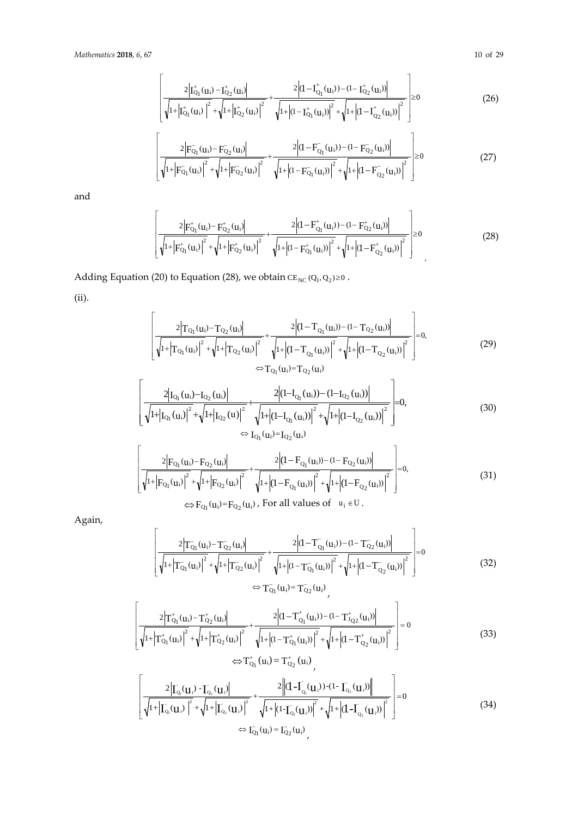$$
\left[\frac{2\left|I_{Q_1}^+(u_i) - I_{Q_2}^+(u_i)\right|}{\sqrt{1+\left|I_{Q_1}^+(u_i)\right|^2} + \sqrt{1+\left|I_{Q_2}^+(u_i)\right|^2}} + \frac{2\left|(1-I_{Q_1}^+(u_i)) - (1-I_{Q_2}^+(u_i))\right|}{\sqrt{1+\left|(1-I_{Q_1}^+(u_i))\right|^2} + \sqrt{1+\left|(1-I_{Q_2}^+(u_i))\right|^2}}\right] \ge 0
$$
\n(26)

$$
\left[ \frac{2 \left| F_{Q_1} (u_i) - F_{Q_2} (u_i) \right|}{\sqrt{1 + \left| F_{Q_1} (u_i) \right|^2} + \sqrt{1 + \left| F_{Q_2} (u_i) \right|^2}} + \frac{2 \left| (1 - F_{Q_1} (u_i)) - (1 - F_{Q_2} (u_i)) \right|}{\sqrt{1 + \left| (1 - F_{Q_1} (u_i)) \right|^2} + \sqrt{1 + \left| (1 - F_{Q_2} (u_i)) \right|^2}} \right] \ge 0
$$
\n(27)

and

$$
\left[\frac{2\left|F_{Q_1}^+(u_i) - F_{Q_2}^+(u_i)\right|}{\sqrt{1+\left|F_{Q_1}^+(u_i)\right|^2} + \sqrt{1+\left|F_{Q_2}^+(u_i)\right|^2}} + \frac{2\left| (1 - F_{Q_1}^+(u_i)) - (1 - F_{Q_2}^+(u_i)) \right|}{\sqrt{1+\left| (1 - F_{Q_1}^+(u_i)) \right|^2} + \sqrt{1+\left| (1 - F_{Q_2}^+(u_i)) \right|^2}} \right] \ge 0
$$
\n(28)

Adding Equation (20) to Equation (28), we obtain  $CE_{NC} (Q_1, Q_2) \ge 0$ .

(ii).

$$
\left[\frac{2\left|T_{Q_{1}}(u_{i})-T_{Q_{2}}(u_{i})\right|^{2}}{\sqrt{1+\left|T_{Q_{1}}(u_{i})\right|^{2}}+\sqrt{1+\left|T_{Q_{2}}(u_{i})\right|^{2}}+\sqrt{1+\left|(1-T_{Q_{1}}(u_{i}))\right|^{2}+\sqrt{1+\left|(1-T_{Q_{2}}(u_{i}))\right|^{2}}}\right]=0,
$$
\n
$$
\Leftrightarrow T_{Q_{1}}(u_{i})=T_{Q_{2}}(u_{i})
$$
\n(29)

$$
\frac{2|I_{Q_1}(u_i)-I_{Q_2}(u_i)|}{\sqrt{1+|I_{Q_1}(u_i)|^2}+\sqrt{1+|I_{Q_2}(u)|^2}}+\frac{2|(1-I_{Q_1}(u_i))-(1-I_{Q_2}(u_i))|}{\sqrt{1+|(1-I_{Q_1}(u_i))|^2}+\sqrt{1+|(1-I_{Q_2}(u_i))|^2}}=0,
$$
\n
$$
\Leftrightarrow I_{Q_1}(u_i)=I_{Q_2}(u_i)
$$
\n(30)

$$
\left[\frac{2\left|F_{Q_1}(u_i) - F_{Q_2}(u_i)\right|}{\sqrt{1 + \left|F_{Q_1}(u_i)\right|^2} + \sqrt{1 + \left|F_{Q_2}(u_i)\right|^2}} + \frac{2\left|(1 - F_{Q_1}(u_i)) - (1 - F_{Q_2}(u_i))\right|}{\sqrt{1 + \left|(1 - F_{Q_1}(u_i))\right|^2} + \sqrt{1 + \left|(1 - F_{Q_2}(u_i))\right|^2}}\right] = 0,
$$
\n(31)  
\n
$$
\Leftrightarrow F_{Q_1}(u_i) = F_{Q_2}(u_i), \text{ For all values of } u_i \in U.
$$

Again,

$$
\left[ \frac{2\left|T_{Q_1}^{-}(u_i) - T_{Q_2}^{-}(u_i)\right|}{\sqrt{1 + \left|T_{Q_1}^{-}(u_i)\right|^2} + \sqrt{1 + \left|T_{Q_2}^{-}(u_i)\right|^2} + \sqrt{1 + \left|(1 - T_{Q_1}^{-}(u_i))\right|^2} + \sqrt{1 + \left|(1 - T_{Q_2}^{-}(u_i))\right|^2}} \right] = 0
$$
\n
$$
\Leftrightarrow T_{Q_1}^{-}(u_i) = T_{Q_2}^{-}(u_i)
$$
\n
$$
(32)
$$

$$
\left[\frac{2\left|T_{Q_1}^+(u_i)-T_{Q_2}^+(u_i)\right|}{\sqrt{1+\left|T_{Q_1}^+(u_i)\right|^2}+\sqrt{1+\left|T_{Q_2}^+(u_i)\right|^2}}+\frac{2\left|(1-T_{Q_1}^+(u_i))-(1-T_{J_{Q_2}}^+(u_i))\right|}{\sqrt{1+\left|(1-T_{Q_1}^+(u_i))\right|^2}+\sqrt{1+\left|(1-T_{Q_2}^+(u_i))\right|^2}}\right]=0
$$
\n(33)

$$
\left[ \frac{2\left| \Gamma_{Q_1}(\mathbf{u}_i) - \Gamma_{Q_2}(\mathbf{u}_i) \right|}{\sqrt{1 + \left| \Gamma_{Q_1}(\mathbf{u}_i) \right|^2} + \sqrt{1 + \left| \Gamma_{Q_2}(\mathbf{u}_i) \right|^2}} + \frac{2\left\| (\mathbf{I} - \mathbf{I}_{Q_1}(\mathbf{u}_i)) - (\mathbf{I} - \mathbf{I}_{Q_2}(\mathbf{u}_i)) \right\|}{\sqrt{1 + \left| (\mathbf{I} - \mathbf{I}_{Q_1}(\mathbf{u}_i)) \right|^2} + \sqrt{1 + \left| (\mathbf{I} - \mathbf{I}_{Q_2}(\mathbf{u}_i)) \right|^2}} \right] = 0
$$
\n
$$
\Leftrightarrow \Gamma_{Q_1}(\mathbf{u}_i) = \Gamma_{Q_2}(\mathbf{u}_i)
$$
\n(34)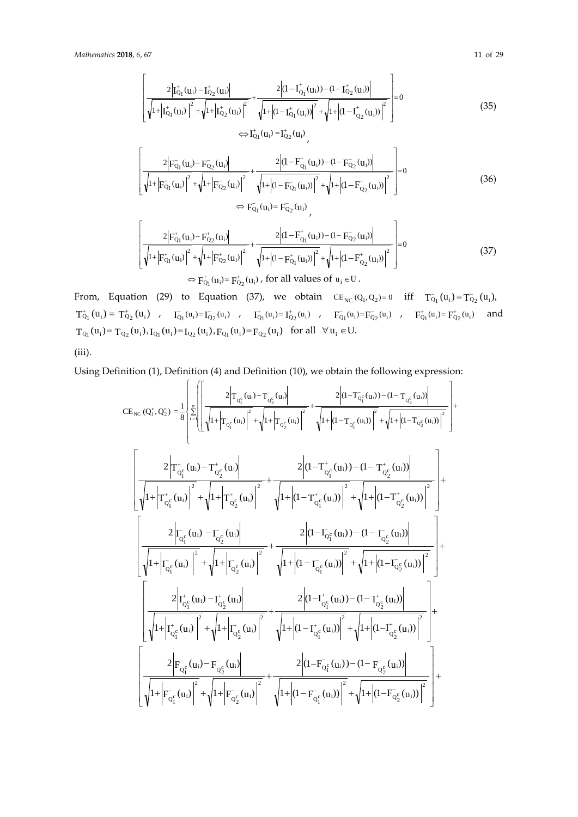$$
\frac{2\left|\mathbf{I}_{Q_{1}}^{+}(\mathbf{u}_{i})-\mathbf{I}_{Q_{2}}^{+}(\mathbf{u}_{i})\right|^{2}}{\sqrt{1+\left|\mathbf{I}_{Q_{1}}^{+}(\mathbf{u}_{i})\right|^{2}}+\sqrt{1+\left|\mathbf{I}_{Q_{2}}^{+}(\mathbf{u}_{i})\right|^{2}}}+\frac{2\left|\left(1-\mathbf{I}_{Q_{1}}^{+}(\mathbf{u}_{i})\right)-\left(1-\mathbf{I}_{Q_{2}}^{+}(\mathbf{u}_{i})\right)\right|^{2}}{\sqrt{1+\left|\mathbf{I}_{Q_{1}}^{+}(\mathbf{u}_{i})\right|^{2}}+\sqrt{1+\left|\left(1-\mathbf{I}_{Q_{2}}^{+}(\mathbf{u}_{i})\right)\right|^{2}}}\right|=0
$$
\n
$$
\Leftrightarrow \mathbf{I}_{Q_{1}}^{+}(\mathbf{u}_{i})=\mathbf{I}_{Q_{2}}^{+}(\mathbf{u}_{i})\tag{35}
$$

$$
\left[ \frac{2 \left| F_{Q_1}(\mathbf{u}_i) - F_{Q_2}(\mathbf{u}_i) \right|}{\sqrt{1 + \left| F_{Q_1}(\mathbf{u}_i) \right|^2} + \sqrt{1 + \left| F_{Q_2}(\mathbf{u}_i) \right|^2} + \sqrt{1 + \left| (1 - F_{Q_1}(\mathbf{u}_i)) \right|^2} + \sqrt{1 + \left| (1 - F_{Q_2}(\mathbf{u}_i)) \right|^2} \right|} = 0
$$
\n
$$
\Leftrightarrow F_{Q_1}(\mathbf{u}_i) = F_{Q_2}(\mathbf{u}_i)
$$
\n(36)

$$
\left[ \frac{2 \left| F_{Q_1}^{\dagger}(\mathbf{u}_i) - F_{Q_2}^{\dagger}(\mathbf{u}_i) \right|}{\sqrt{1 + \left| F_{Q_1}^{\dagger}(\mathbf{u}_i) \right|^2 + \sqrt{1 + \left| F_{Q_2}^{\dagger}(\mathbf{u}_i) \right|^2}} + \frac{2 \left| (1 - F_{Q_1}^{\dagger}(\mathbf{u}_i)) - (1 - F_{Q_2}^{\dagger}(\mathbf{u}_i)) \right|}{\sqrt{1 + \left| (1 - F_{Q_1}^{\dagger}(\mathbf{u}_i)) \right|^2} + \sqrt{1 + \left| (1 - F_{Q_2}^{\dagger}(\mathbf{u}_i)) \right|^2}} \right] = 0
$$
\n
$$
\Leftrightarrow F_{Q_1}^{\dagger}(\mathbf{u}_i) = F_{Q_2}^{\dagger}(\mathbf{u}_i)
$$
\n(37)

From, Equation (29) to Equation (37), we obtain  $CE_{NC}(Q_1, Q_2) = 0$  iff  $T_{Q_1}(u_i) = T_{Q_2}(u_i)$ ,  $T^+_{Q_1}(u_i)=\,T^+_{Q_2}(u_i)\quad,\quad I^-_{Q_1}(u_i)=I^-_{Q_2}(u_i)\quad,\quad I^+_{Q_1}(u_i)=I^+_{Q_2}(u_i)\quad,\quad F^-_{Q_1}(u_i)=F^-_{Q_2}(u_i)\quad,\quad F^+_{Q_1}(u_i)=F^+_{Q_2}(u_i)\quad\text{and}\quad\quad T^-_{Q_1}(u_i)=T^-_{Q_2}(u_i)\quad\text{and}\quad\quad T^-_{Q_1}(u_i)=T^-_{Q_2}(u_i)\quad\text{and}\quad\quad T^-_{Q_1}(u_i)=T^-_{Q_2}(u_i)\quad\text{and}\quad\quad T^-_{Q$  $T_{Q_1}(u_{\bf i})\!=T_{Q_2}(u_{\bf i}),I_{Q_1}(u_{\bf i})\!=\!I_{Q_2}(u_{\bf i}),F_{Q_1}(u_{\bf i})\!=\!F_{Q_2}(u_{\bf i})\ \ \text{for all}\ \ \forall\,u_{\bf i}\in U.$ 

(iii).

Using Definition (1), Definition (4) and Definition (10), we obtain the following expression:

$$
CE_{\text{NC}} (Q_i^c, Q_2^c) = \frac{1}{8} \left\{ \sum_{i=1}^{1} \left[ \frac{2 \left| T_{Q_i^c}(u_i) - T_{Q_2^c}(u_i) \right|}{\sqrt{1 + \left| T_{Q_i^c}(u_i) \right|^2 + \left| J_1 + \left| T_{Q_2^c}(u_i) \right| \right|^2}} + \frac{2 \left| (1 - T_{Q_i^c}(u_i)) - (1 - T_{Q_2^c}(u_i)) \right|^2}{\sqrt{1 + \left| J_1 + \left| J_1 - \frac{T_{Q_2^c}(u_i) \right| \right|^2}} + \frac{2 \left| (1 - T_{Q_1^c}(u_i)) - (1 - T_{Q_2^c}(u_i)) \right|^2} + \sqrt{1 + \left| (1 - T_{Q_2^c}(u_i)) \right|^2} \right\} + \frac{2 \left| (1 - T_{Q_1^c}(u_i)) - (1 - T_{Q_2^c}(u_i)) \right|^2}{\sqrt{1 + \left| T_{Q_1^c}(u_i) \right|^2 + \left| J_1 + \left| J_1 - \frac{T_{Q_2^c}(u_i) \right| \right|^2}} + \frac{2 \left| (1 - T_{Q_1^c}(u_i)) - (1 - T_{Q_2^c}(u_i)) \right|^2}{\sqrt{1 + \left| T_{Q_1^c}(u_i) \right|^2 + \left| J_1 + \left| J_2 - \frac{T_{Q_2^c}(u_i) \right| \right|^2}} + \frac{2 \left| (1 - T_{Q_1^c}(u_i)) - (1 - T_{Q_2^c}(u_i)) \right|^2}{\sqrt{1 + \left| T_{Q_1^c}(u_i) \right|^2 + \left| J_1 + \left| J_1 - \frac{T_{Q_2^c}(u_i) \right| \right|^2}} + \frac{2 \left| (1 - T_{Q_1^c}(u_i)) - (1 - T_{Q_2^c}(u_i)) \right|^2}{\sqrt{1 + \left| T_{Q_1^c}(u_i) \right|^2 + \left| J_1 + \left| J_1 - \frac{T_{Q_2^c}(u_i) \right| \right|^2}} + \frac{2 \left| (1 - T_{Q_1^c}(u_i)) - (1 - T_{Q_2^c}(u_i)) \right|^2}{\sqrt{1 + \left| T_{Q_1^c}(u_i) \right|^2 + \left| J_
$$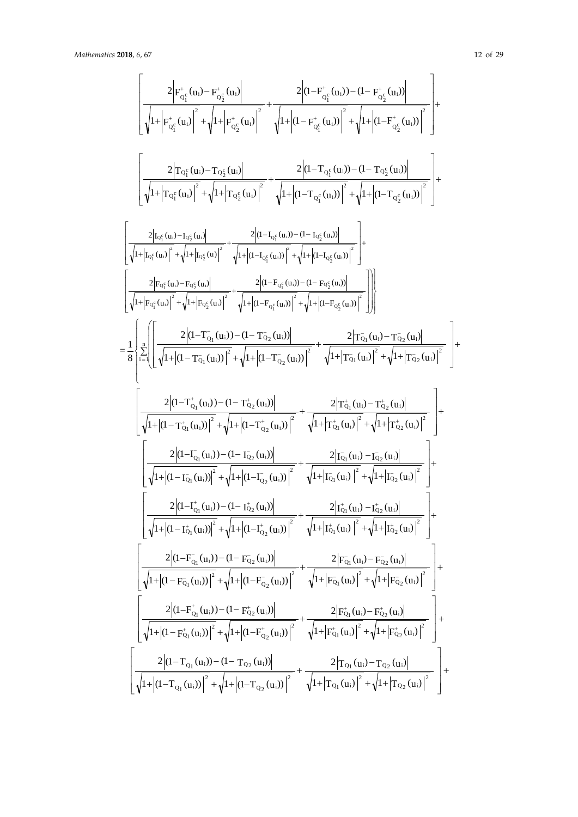$\begin{bmatrix} \phantom{-} \end{bmatrix}$ L

I

 $\begin{bmatrix} \phantom{-} \end{bmatrix}$ L

 $\overline{1}$ 

$$
\begin{split} &\frac{2\left| \mathbf{r}_{\sigma_{2}^{c}}^{*}(u_{i}) - \mathbf{r}_{\sigma_{2}^{c}}^{*}(u_{i}) \right|}{\sqrt{1+\left| \mathbf{r}_{\sigma_{2}^{c}}^{*}(u_{i}) \right|^{2}}+\sqrt{1+\left| \mathbf{q}-\mathbf{r}_{\sigma_{2}^{c}}^{*}(u_{i}) \right|^{2}}+\sqrt{1+\left| \mathbf{q}-\mathbf{r}_{\sigma_{2}^{c}}^{*}(u_{i}) \right|^{2}}+\sqrt{1+\left| \mathbf{q}-\mathbf{r}_{\sigma_{2}^{c}}^{*}(u_{i}) \right|^{2}}+\sqrt{1+\left| \mathbf{q}-\mathbf{r}_{\sigma_{2}^{c}}^{*}(u_{i}) \right|^{2}}+\sqrt{1+\left| \mathbf{q}-\mathbf{r}_{\sigma_{2}^{c}}^{*}(u_{i}) \right|^{2}}+\sqrt{1+\left| \mathbf{q}-\mathbf{r}_{\sigma_{2}^{c}}^{*}(u_{i}) \right|^{2}}+\sqrt{1+\left| \mathbf{q}-\mathbf{r}_{\sigma_{2}^{c}}^{*}(u_{i}) \right|^{2}}+\sqrt{1+\left| \mathbf{q}-\mathbf{r}_{\sigma_{2}^{c}}^{*}(u_{i}) \right|^{2}}+\sqrt{1+\left| \mathbf{q}-\mathbf{r}_{\sigma_{2}^{c}}^{*}(u_{i}) \right|^{2}}+\sqrt{1+\left| \mathbf{q}-\mathbf{r}_{\sigma_{2}^{c}}^{*}(u_{i}) \right|^{2}}+\sqrt{1+\left| \mathbf{q}-\mathbf{r}_{\sigma_{2}^{c}}^{*}(u_{i}) \right|^{2}}+\sqrt{1+\left| \mathbf{q}-\mathbf{r}_{\sigma_{2}^{c}}^{*}(u_{i}) \right|^{2}}+\sqrt{1+\left| \mathbf{q}-\mathbf{r}_{\sigma_{2}^{c}}^{*}(u_{i}) \right|^{2}}+\sqrt{1+\left| \mathbf{q}-\mathbf{r}_{\sigma_{2}^{c}}^{*}(u_{i}) \right|^{2}}+\sqrt{1+\left| \mathbf{q}-\mathbf{r}_{\sigma_{2}^{c}}^{*}(u_{i}) \right|^{2}}+\sqrt{1+\left| \mathbf{q}-\mathbf{r}_{\sigma_{2}^{c}}^{*}(u_{i}) \right|^{2}}+\sqrt{1+\left| \mathbf{q}-\mathbf{r}_{\sigma_{2}^{c
$$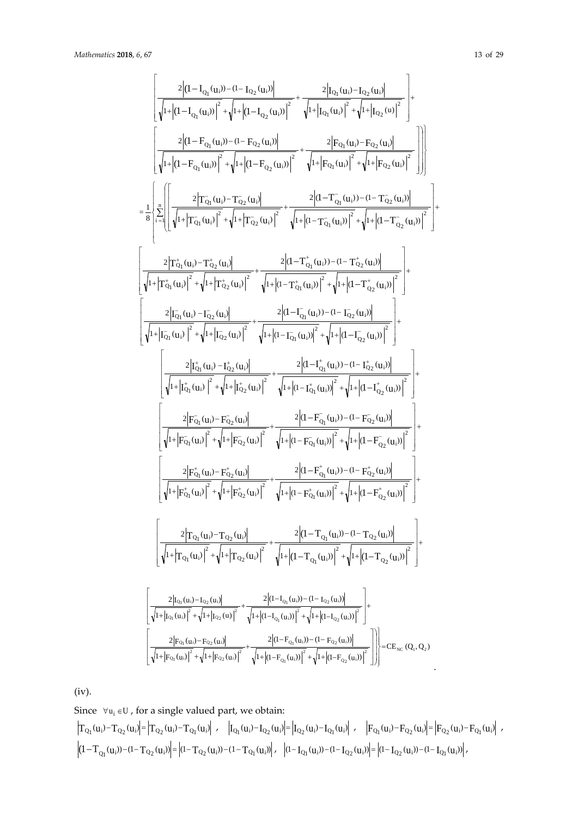$$
\begin{bmatrix} \frac{2|q-1_{Q_{1}}(q_{1})-d-1_{Q_{2}}(q_{1})|}{\sqrt{1+|q-1_{Q_{1}}(q_{1})|^{2}}+\sqrt{1+|q-1_{Q_{2}}(q_{1})|^{2}}+\sqrt{1+|q_{1}}(q_{1})-1_{Q_{2}}(q_{1})|^{2}} \\ \frac{2|q-F_{Q_{1}}(q_{1})-d-F_{Q_{2}}(q_{1})|}{\sqrt{1+|q-1_{Q_{1}}(q_{1})|^{2}}+\sqrt{1+|q_{2}}(q_{1})|^{2}}+\sqrt{1+|q_{2}}(q_{1})|^{2}}+\sqrt{1+|q_{2}}(q_{1})|^{2}} \\ \frac{2|q-F_{Q_{1}}(q_{1})-d-F_{Q_{2}}(q_{1})|}{\sqrt{1+|q-1_{Q_{1}}(q_{1})|^{2}}+\sqrt{1+|q-1_{Q_{1}}(q_{1})|^{2}}+\sqrt{1+|q_{2}}(q_{1})|^{2}}\end{bmatrix}\Bigg] \Bigg) \\ =\frac{1}{8}\Bigg\{\frac{2}{\pi}\Bigg[\Bigg[\frac{2|T_{Q_{1}}(q_{1})-T_{Q_{2}}(q_{1})|}{\sqrt{1+|T_{Q_{1}}(q_{1})|^{2}}+\sqrt{1+|T_{Q_{2}}(q_{1})|^{2}}+\sqrt{1+|q-1_{Q_{1}}(q_{1})|^{2}}+\sqrt{1+|q-1_{Q_{2}}(q_{1})|^{2}}\Bigg]\Bigg] + \Bigg[\frac{2|T_{Q_{1}}(q_{1})-T_{Q_{2}}(q_{1})|}{\sqrt{1+|T_{Q_{1}}(q_{1})|^{2}}+\sqrt{1+|T_{Q_{2}}(q_{1})|^{2}}+\sqrt{1+|q-1_{Q_{1}}(q_{1})|^{2}}+\sqrt{1+|q-1_{Q_{2}}(q_{1})|^{2}}\Bigg] + \Bigg[\frac{2|T_{Q_{1}}(q_{1})-T_{Q_{2}}(q_{1})|}{\sqrt{1+|T_{Q_{1}}(q_{1})|^{2}}+\sqrt{1+|q-1_{Q_{1}}(q_{1})|^{2}}+\sqrt{1+|q-1_{Q_{2}}(q_{1})|^{2}}\Bigg] + \Bigg[\frac{2|T_{Q_{1}}(q_{1})-T_{Q_{2}}(q_{1})|}{\sqrt{1
$$

(iv).

Since  $\forall u_i \in U$ , for a single valued part, we obtain:  $\left|\mbox{\bf T}_{\mbox{\bf Q}_1}({\bf u}_i) - \mbox{\bf T}_{\mbox{\bf Q}_2}({\bf u}_i)\right| = \left|\mbox{\bf T}_{\mbox{\bf Q}_2}({\bf u}_i) - \mbox{\bf T}_{\mbox{\bf Q}_1}({\bf u}_i)\right| \ , \quad \left|\mbox{\bf I}_{\mbox{\bf Q}_1}({\bf u}_i) - \mbox{\bf I}_{\mbox{\bf Q}_2}({\bf u}_i)\right| = \left|\mbox{\bf I}_{\mbox{\bf Q}_2}({\bf u}_i) - \mbox{\bf T}_{\mbox{\bf Q}_1}({\bf u}_i)\right| \ , \quad \left|\mbox{\$  $\left|\left(1-T_{Q_1}(u_i))- (1-T_{Q_2}(u_i))\right| = \left|(1-T_{Q_2}(u_i))- (1-T_{Q_1}(u_i))\right| \, , \quad \left|(1-I_{Q_1}(u_i))- (1-I_{Q_2}(u_i))\right| = \left|(1-I_{Q_2}(u_i))- (1-I_{Q_1}(u_i))\right| \, ,$ 

.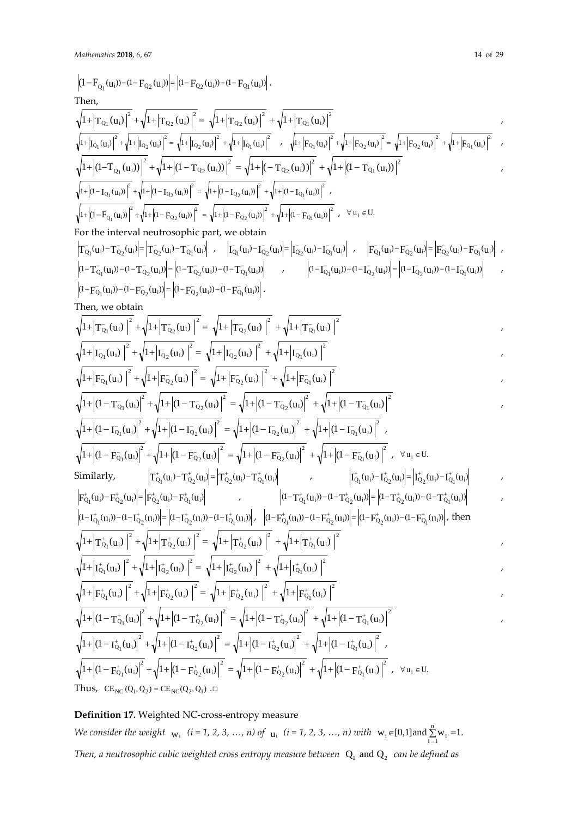(1 <sup>F</sup> (u )) (1 <sup>F</sup> (u )) (1 <sup>F</sup> (u )) (1 <sup>F</sup> (u )) <sup>i</sup> Q2 <sup>i</sup> Q2 <sup>i</sup> Q1 <sup>i</sup> Q1 <sup>−</sup> <sup>−</sup> <sup>−</sup> <sup>=</sup> <sup>−</sup> <sup>−</sup> <sup>−</sup> . Then, 2 Q1 i 2 Q2 i 2 Q2 i 2 Q1 <sup>i</sup> 1+ T (u ) + 1+ T (u ) = 1+ T (u ) + 1+ T (u ) , 2 Q1 i 2 Q2 i 2 Q2 i 2 Q1 <sup>i</sup> <sup>1</sup> ( ) <sup>1</sup> ( ) <sup>1</sup> ( ) <sup>1</sup> (u ) <sup>+</sup> <sup>I</sup> <sup>u</sup> <sup>+</sup> <sup>+</sup> <sup>I</sup> <sup>u</sup> <sup>=</sup> <sup>+</sup> <sup>I</sup> <sup>u</sup> <sup>+</sup> <sup>+</sup> <sup>I</sup> , <sup>2</sup> Q1 i 2 Q2 i 2 Q2 i 2 Q1 <sup>i</sup> <sup>1</sup><sup>+</sup> <sup>F</sup> (u ) <sup>+</sup> <sup>1</sup><sup>+</sup> <sup>F</sup> (u ) <sup>=</sup> <sup>1</sup><sup>+</sup> <sup>F</sup> (u ) <sup>+</sup> <sup>1</sup><sup>+</sup> <sup>F</sup> (u ) , 2 Q1 i 2 Q2 i 2 Q2 i 2 <sup>i</sup> Q1 1+ (1−T (u )) + 1+ (1− T (u )) = 1+ (− T (u )) + 1+ (1− T (u )) , 2 Q1 i 2 Q2 i 2 Q2 i 2 Q1 <sup>i</sup> <sup>1</sup> (1 ( )) <sup>1</sup> (1 ( )) <sup>1</sup> (1 ( )) <sup>1</sup> (1 (u )) <sup>+</sup> <sup>−</sup> <sup>I</sup> <sup>u</sup> <sup>+</sup> <sup>+</sup> <sup>−</sup> <sup>I</sup> <sup>u</sup> <sup>=</sup> <sup>+</sup> <sup>−</sup> <sup>I</sup> <sup>u</sup> <sup>+</sup> <sup>+</sup> <sup>−</sup> <sup>I</sup> , 2 Q1 i 2 Q2 i 2 Q2 i 2 <sup>i</sup> Q1 <sup>1</sup><sup>+</sup> (1−<sup>F</sup> (u )) <sup>+</sup> <sup>1</sup><sup>+</sup> (1 <sup>−</sup> <sup>F</sup> (u )) <sup>=</sup> <sup>1</sup><sup>+</sup> (1 <sup>−</sup> <sup>F</sup> (u )) <sup>+</sup> <sup>1</sup><sup>+</sup> (1 <sup>−</sup> <sup>F</sup> (u )) , <sup>u</sup> U. <sup>∀</sup> <sup>i</sup> <sup>∈</sup> For the interval neutrosophic part, we obtain T (u ) T (u ) T (u ) T (u ) <sup>Q</sup> <sup>i</sup> <sup>1</sup> <sup>Q</sup> <sup>i</sup> <sup>2</sup> <sup>Q</sup> <sup>i</sup> <sup>2</sup> <sup>Q</sup> <sup>i</sup> <sup>1</sup> <sup>−</sup> <sup>−</sup> <sup>−</sup> <sup>−</sup> <sup>−</sup> <sup>=</sup> <sup>−</sup> , ( ) ( ) ( ) (u ) <sup>I</sup> <sup>u</sup> <sup>I</sup> <sup>u</sup> <sup>I</sup> <sup>u</sup> IQ <sup>i</sup> <sup>1</sup> <sup>Q</sup> <sup>i</sup> <sup>2</sup> <sup>Q</sup> <sup>i</sup> <sup>2</sup> <sup>Q</sup> <sup>i</sup> <sup>1</sup> <sup>−</sup> <sup>−</sup> <sup>−</sup> <sup>−</sup> <sup>−</sup> <sup>=</sup> <sup>−</sup> , <sup>F</sup> (u ) <sup>F</sup> (u ) <sup>F</sup> (u ) <sup>F</sup> (u ) <sup>Q</sup> <sup>i</sup> <sup>1</sup> <sup>Q</sup> <sup>i</sup> <sup>2</sup> <sup>Q</sup> <sup>i</sup> <sup>2</sup> <sup>Q</sup> <sup>i</sup> <sup>1</sup> <sup>−</sup> <sup>−</sup> <sup>−</sup> <sup>−</sup> − = − , (1 T (u )) (1 T (u )) (1 T (u )) (1 T (u )) <sup>Q</sup> <sup>i</sup> <sup>1</sup> <sup>Q</sup> <sup>i</sup> <sup>2</sup> <sup>Q</sup> <sup>i</sup> <sup>2</sup> <sup>Q</sup> <sup>i</sup> <sup>1</sup> <sup>−</sup> <sup>−</sup> <sup>−</sup> <sup>−</sup> <sup>−</sup> <sup>−</sup> <sup>−</sup> <sup>=</sup> <sup>−</sup> <sup>−</sup> <sup>−</sup> , (1 ( )) (1 ( )) (1 ( )) (1 (u )) <sup>I</sup> <sup>u</sup> <sup>I</sup> <sup>u</sup> <sup>I</sup> <sup>u</sup> IQ <sup>i</sup> <sup>1</sup> <sup>Q</sup> <sup>i</sup> <sup>2</sup> <sup>Q</sup> <sup>i</sup> <sup>2</sup> <sup>Q</sup> <sup>i</sup> <sup>1</sup> <sup>−</sup> <sup>−</sup> <sup>−</sup> <sup>−</sup> − − − = − − − , (1 F (u )) (1 F (u )) (1 F (u )) (1 F (u )) <sup>Q</sup> <sup>i</sup> <sup>1</sup> <sup>Q</sup> <sup>i</sup> <sup>2</sup> <sup>Q</sup> <sup>i</sup> <sup>2</sup> <sup>Q</sup> <sup>i</sup> <sup>1</sup> <sup>−</sup> <sup>−</sup> <sup>−</sup> <sup>−</sup> − − − = − − − . Then, we obtain 2 Q i 1 2 Q i 2 2 Q i 2 2 <sup>Q</sup> <sup>i</sup> <sup>1</sup> 1 T (u ) 1 T (u ) 1 T (u ) 1 T (u ) <sup>−</sup> <sup>−</sup> <sup>−</sup> <sup>−</sup> + + + = + + + , 2 Q i 1 2 Q i 2 2 Q i 2 2 <sup>Q</sup> <sup>i</sup> <sup>1</sup> <sup>1</sup> <sup>I</sup> (u ) <sup>1</sup> <sup>I</sup> (u ) <sup>1</sup> <sup>I</sup> (u ) <sup>1</sup> <sup>I</sup> (u ) <sup>−</sup> <sup>−</sup> <sup>−</sup> <sup>−</sup> <sup>+</sup> <sup>+</sup> <sup>+</sup> <sup>=</sup> <sup>+</sup> <sup>+</sup> <sup>+</sup> , 2 Q i 1 2 Q i 2 2 Q i 2 2 <sup>Q</sup> <sup>i</sup> <sup>1</sup> <sup>1</sup> <sup>F</sup> (u ) <sup>1</sup> <sup>F</sup> (u ) <sup>1</sup> <sup>F</sup> (u ) <sup>1</sup> <sup>F</sup> (u ) <sup>−</sup> <sup>−</sup> <sup>−</sup> <sup>−</sup> <sup>+</sup> <sup>+</sup> <sup>+</sup> <sup>=</sup> <sup>+</sup> <sup>+</sup> <sup>+</sup> , 2 Q i 1 2 Q i 2 2 Q i 2 2 <sup>Q</sup> <sup>i</sup> <sup>1</sup> 1 (1 T (u ) 1 (1 T (u ) 1 (1 T (u ) 1 (1 T (u ) <sup>−</sup> <sup>−</sup> <sup>−</sup> <sup>−</sup> + − + + − = + − + + − , 2 Q i 1 2 Q i 2 2 Q i 2 2 <sup>Q</sup> <sup>i</sup> <sup>1</sup> <sup>1</sup> (1 <sup>I</sup> (u ) <sup>1</sup> (1 <sup>I</sup> (u ) <sup>1</sup> (1 <sup>I</sup> (u ) <sup>1</sup> (1 <sup>I</sup> (u ) <sup>−</sup> <sup>−</sup> <sup>−</sup> <sup>−</sup> <sup>+</sup> <sup>−</sup> <sup>+</sup> <sup>+</sup> <sup>−</sup> <sup>=</sup> <sup>+</sup> <sup>−</sup> <sup>+</sup> <sup>+</sup> <sup>−</sup> , 2 Q i 1 2 Q i 2 2 Q i 2 2 <sup>Q</sup> <sup>i</sup> <sup>1</sup> <sup>1</sup> (1 <sup>F</sup> (u ) <sup>1</sup> (1 <sup>F</sup> (u ) <sup>1</sup> (1 <sup>F</sup> (u ) <sup>1</sup> (1 <sup>F</sup> (u ) <sup>−</sup> <sup>−</sup> <sup>−</sup> <sup>−</sup> <sup>+</sup> <sup>−</sup> <sup>+</sup> <sup>+</sup> <sup>−</sup> <sup>=</sup> <sup>+</sup> <sup>−</sup> <sup>+</sup> <sup>+</sup> <sup>−</sup> , <sup>u</sup> U. <sup>∀</sup> <sup>i</sup> <sup>∈</sup> Similarly, T (u ) T (u ) T (u ) T (u ) <sup>Q</sup> <sup>i</sup> <sup>1</sup> <sup>Q</sup> <sup>i</sup> <sup>2</sup> <sup>Q</sup> <sup>i</sup> <sup>2</sup> <sup>Q</sup> <sup>i</sup> <sup>1</sup> <sup>+</sup> <sup>+</sup> <sup>+</sup> <sup>+</sup> <sup>−</sup> <sup>=</sup> <sup>−</sup> , ( ) ( ) ( ) (u ) <sup>I</sup> <sup>u</sup> <sup>I</sup> <sup>u</sup> <sup>I</sup> <sup>u</sup> IQ <sup>i</sup> <sup>1</sup> <sup>Q</sup> <sup>i</sup> <sup>2</sup> <sup>Q</sup> <sup>i</sup> <sup>2</sup> <sup>Q</sup> <sup>i</sup> <sup>1</sup> <sup>+</sup> <sup>+</sup> <sup>+</sup> <sup>+</sup> − = − , F (u ) F (u ) F (u ) F (u ) <sup>Q</sup> <sup>i</sup> <sup>1</sup> <sup>Q</sup> <sup>i</sup> <sup>2</sup> <sup>Q</sup> <sup>i</sup> <sup>2</sup> <sup>Q</sup> <sup>i</sup> <sup>1</sup> <sup>+</sup> <sup>+</sup> <sup>+</sup> <sup>+</sup> <sup>−</sup> <sup>=</sup> <sup>−</sup> , (1 <sup>T</sup> (u )) (1 <sup>T</sup> (u )) (1 <sup>T</sup> (u )) (1 <sup>T</sup> (u )) <sup>Q</sup> <sup>i</sup> <sup>1</sup> <sup>Q</sup> <sup>i</sup> <sup>2</sup> <sup>Q</sup> <sup>i</sup> <sup>2</sup> <sup>Q</sup> <sup>i</sup> <sup>1</sup> <sup>+</sup> <sup>+</sup> <sup>+</sup> <sup>+</sup> − − − = − − − , (1 ( )) (1 ( )) (1 ( )) (1 (u )) I u I u I u IQ <sup>i</sup> <sup>1</sup> <sup>Q</sup> <sup>i</sup> <sup>2</sup> <sup>Q</sup> <sup>i</sup> <sup>2</sup> <sup>Q</sup> <sup>i</sup> <sup>1</sup> <sup>+</sup> <sup>+</sup> <sup>+</sup> <sup>+</sup> <sup>−</sup> <sup>−</sup> <sup>−</sup> <sup>=</sup> <sup>−</sup> <sup>−</sup> <sup>−</sup> , (1 <sup>F</sup> (u )) (1 <sup>F</sup> (u )) (1 <sup>F</sup> (u )) (1 <sup>F</sup> (u )) <sup>Q</sup> <sup>i</sup> <sup>1</sup> <sup>Q</sup> <sup>i</sup> <sup>2</sup> <sup>Q</sup> <sup>i</sup> <sup>2</sup> <sup>Q</sup> <sup>i</sup> <sup>1</sup> <sup>+</sup> <sup>+</sup> <sup>+</sup> <sup>+</sup> − − − = − − − , then 2 Q i 1 2 Q i 2 2 Q i 2 2 <sup>Q</sup> <sup>i</sup> <sup>1</sup> 1 T (u ) 1 T (u ) 1 T (u ) 1 T (u ) <sup>+</sup> <sup>+</sup> <sup>+</sup> <sup>+</sup> + + + = + + + , 2 Q i 1 2 Q i 2 2 Q i 2 2 <sup>Q</sup> <sup>i</sup> <sup>1</sup> <sup>1</sup> <sup>I</sup> (u ) <sup>1</sup> <sup>I</sup> (u ) <sup>1</sup> <sup>I</sup> (u ) <sup>1</sup> <sup>I</sup> (u ) <sup>+</sup> <sup>+</sup> <sup>+</sup> <sup>+</sup> <sup>+</sup> <sup>+</sup> <sup>+</sup> <sup>=</sup> <sup>+</sup> <sup>+</sup> <sup>+</sup> , 2 Q i 1 2 Q i 2 2 Q i 2 2 <sup>Q</sup> <sup>i</sup> <sup>1</sup> <sup>1</sup> <sup>F</sup> (u ) <sup>1</sup> <sup>F</sup> (u ) <sup>1</sup> <sup>F</sup> (u ) <sup>1</sup> <sup>F</sup> (u ) <sup>+</sup> <sup>+</sup> <sup>+</sup> <sup>+</sup> <sup>+</sup> <sup>+</sup> <sup>+</sup> <sup>=</sup> <sup>+</sup> <sup>+</sup> <sup>+</sup> , 2 Q i 1 2 Q i 2 2 Q i 2 2 <sup>Q</sup> <sup>i</sup> <sup>1</sup> 1 (1 T (u ) 1 (1 T (u ) 1 (1 T (u ) 1 (1 T (u ) <sup>+</sup> <sup>+</sup> <sup>+</sup> <sup>+</sup> + − + + − = + − + + − , 2 Q i 1 2 Q i 2 2 Q i 2 2 <sup>Q</sup> <sup>i</sup> <sup>1</sup> <sup>1</sup> (1 <sup>I</sup> (u ) <sup>1</sup> (1 <sup>I</sup> (u ) <sup>1</sup> (1 <sup>I</sup> (u ) <sup>1</sup> (1 <sup>I</sup> (u ) <sup>+</sup> <sup>+</sup> <sup>+</sup> <sup>+</sup> <sup>+</sup> <sup>−</sup> <sup>+</sup> <sup>+</sup> <sup>−</sup> <sup>=</sup> <sup>+</sup> <sup>−</sup> <sup>+</sup> <sup>+</sup> <sup>−</sup> , 2 Q i 1 2 Q i 2 2 Q i 2 2 <sup>Q</sup> <sup>i</sup> <sup>1</sup> <sup>1</sup> (1 <sup>F</sup> (u ) <sup>1</sup> (1 <sup>F</sup> (u ) <sup>1</sup> (1 <sup>F</sup> (u ) <sup>1</sup> (1 <sup>F</sup> (u ) <sup>+</sup> <sup>+</sup> <sup>+</sup> <sup>+</sup> <sup>+</sup> <sup>−</sup> <sup>+</sup> <sup>+</sup> <sup>−</sup> <sup>=</sup> <sup>+</sup> <sup>−</sup> <sup>+</sup> <sup>+</sup> <sup>−</sup> , <sup>u</sup> U. <sup>∀</sup> <sup>i</sup> <sup>∈</sup> Thus, CE (Q , Q ) CE (Q , Q ) NC <sup>1</sup> <sup>2</sup> = NC <sup>2</sup> <sup>1</sup> .□

# **Definition 17.** Weighted NC-cross-entropy measure

*We consider the weight*  $w_i$  *(i = 1, 2, 3, …, n) of*  $u_i$  *(i = 1, 2, 3, …, n) with*  $w_i \in [0,1]$  and  $\sum_{i=1}^{n} w_i = 1$ . *Then, a neutrosophic cubic weighted cross entropy measure between*  $Q_1$  and  $Q_2$  *can be defined as*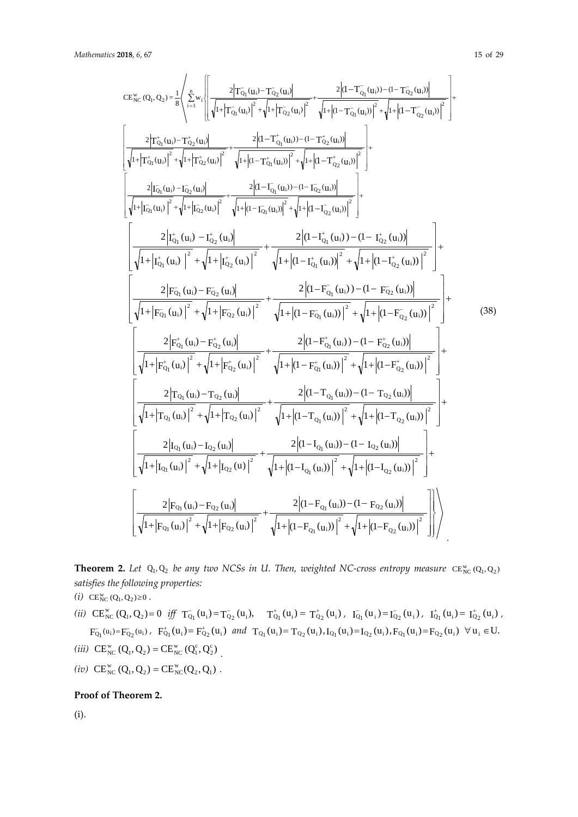$\frac{1}{2}$ L

 $\mathsf{I}$ 

 $\mathbf{r}$ 

L  $\mathbf{r}$  $\mathsf{I}$  $\mathbf{r}$ 

 $\mathsf{I}$ 

L

 $+$   $| \overline{I_{\Omega}}(u_i) | + \sqrt{1+}$ 

 $_{\mathrm{Q}_1}$  \u<sub>i</sub>

− −  $-$ 

 $|1+|\mathbf{I}_{\Omega_1}(\mathbf{u}_i)| + \sqrt{1+|\mathbf{I}_{\Omega_2}(\mathbf{u}_i)|}$  $2[\overline{I_{\Omega}}_{1}(u_i) - \overline{I_{\Omega}}_{2}(u_i)]$ 

 $\left| \right| \mathbf{I}_{\mathrm{Q}_1}(\mathbf{u}_{\mathrm{i}}) \left| \right| + \sqrt{1 + \left| \mathbf{I}_{\mathrm{Q}_2}(\mathbf{u}) \right|}$  $I_{Q_1}^-(u_i) - I_{Q_2}^-(u)$ 

 $+ |I_{\Omega_1}^+(u_i)|^+ + \sqrt{1+$ 

2  $Q_1$  \cdot i

 $+|T_{\Omega_1}^{\dagger}(u_i)| + \sqrt{1+$ 

−

 $_{\mathrm{Q}_1}$  \u<sub>i</sub>  $_{\mathrm{Q}_2}$  \u<sub>i</sub>

−

 $_{\mathrm{Q}_1}$   $\mathrm{u}_i$  $\mathrm{u}_i$   $\mathrm{u}_i$ 

+ +  $+$   $\leftarrow$   $\sim$   $\mathbf{m}^+$ 

 $|1+|T_{\Omega_1}^{\dagger}(u_i)| + \sqrt{1+|T_{\Omega_2}^{\dagger}(u_i)|}$  $2T_{\Omega_1}^{\dagger}(u_i)-T_{\Omega_2}^{\dagger}(u_i)$ 

 $T_{\mathrm{Q}_1}^{\mathrm{+}}(\mathrm{u_i})\big|$  +  $\sqrt{1+\big|T_{\mathrm{Q}_2}^{\mathrm{+}}(\mathrm{u_i})\big|}$  $T_{Q_1}^{\dagger}(u_i) - T_{Q_2}^{\dagger}(u_i)$ 

2  $Q_1 \setminus u_1$ 

 $_{\rm NC}^{\rm w}$  (Q<sub>1</sub>, Q<sub>2</sub>) =  $\frac{1}{8}$   $\sum_{i}^{\infty}$  w<sub>i</sub>

 $\overline{\phantom{a}}$  $\overline{\mathfrak{l}}$   $\frac{1}{2}$ L

 $\overline{\phantom{a}}$ ₹

∑

n

 $\int$ 

I

+

2  $_{\mathrm{Q_2}}$  \u<sub>i</sub>

−

 $2\left| \overline{\mathrm{F}_{\mathrm{Q}_1}}\left(\mathrm{u_i}\right) - \overline{\mathrm{F}_{\mathrm{Q}_2}}\left(\mathrm{u_i}\right) \right|$ 

 $_{\mathrm{Q}_1}$  (u<sub>i</sub>) –  $_{\mathrm{PQ}_2}$  (u<sub>i</sub>

 $-(-)$   $-$ 

 $+$  (...)  $\mathbf{r}$  +  $\mathbf{r}$  +  $\mathbf{r}$ 

2

 $+$  (...)  $T^+$ 

−

 $_{\mathrm{Q}_1}$  (u<sub>i</sub>)  $_{\mathrm{q}_2}$  (u<sub>i</sub>

 $2\left| {\rm I}_{\rm Q_1}^+ \left( {\rm u_i} \right) \right. - {\rm I}_{\rm Q_2}^+ \left( {\rm u_i} \right)$ 

+

2  $Q_2$   $\mathsf{u}_i$ 

L

 $\overline{\phantom{a}}$ L

L

$$
CE_{NC}^{w}(Q_{1}, Q_{2}) = \frac{1}{8} \left\langle \sum_{i=1}^{n} w_{i} \left[ \frac{2 \left| T_{Q_{1}}^{T}(u_{i}) - T_{Q_{2}}^{T}(u_{i}) \right|^{2}}{\sqrt{1 + \left| T_{Q_{1}}^{T}(u_{i}) \right|^{2}} + \sqrt{1 + \left| T_{Q_{2}}^{T}(u_{i}) \right|^{2}} + \sqrt{1 + \left| (1 - T_{Q_{1}}^{T}(u_{i})) \right|^{2}} + \sqrt{1 + \left| (1 - T_{Q_{2}}^{T}(u_{i})) \right|^{2}} + \sqrt{1 + \left| (1 - T_{Q_{2}}^{T}(u_{i})) \right|^{2}} \right] + \frac{1}{8} \left[ \frac{2 \left| T_{Q_{1}}^{+}(u_{i}) - T_{Q_{2}}^{+}(u_{i}) \right|^{2}}{\sqrt{1 + \left| T_{Q_{1}}^{+}(u_{i}) \right|^{2}} + \sqrt{1 + \left| T_{Q_{2}}^{+}(u_{i}) \right|^{2}} + \sqrt{1 + \left| (1 - T_{Q_{1}}^{+}(u_{i})) \right|^{2}} + \sqrt{1 + \left| (1 - T_{Q_{2}}^{+}(u_{i})) \right|^{2}} \right] + \frac{1}{8} \left[ \frac{2 \left| T_{Q_{1}}^{+}(u_{i}) - T_{Q_{2}}^{+}(u_{i}) \right|^{2}}{\sqrt{1 + \left| T_{Q_{1}}^{+}(u_{i}) \right|^{2}} + \sqrt{1 + \left| (1 - T_{Q_{1}}^{+}(u_{i})) \right|^{2}} + \sqrt{1 + \left| (1 - T_{Q_{2}}^{+}(u_{i})) \right|^{2}} \right] + \frac{1}{8} \left[ \frac{2 \left| T_{Q_{1}}^{+}(u_{i}) - T_{Q_{2}}^{+}(u_{i}) \right|^{2}}{\sqrt{1 + \left| T_{Q_{1}}^{+}(u_{i}) \right|^{2}} + \sqrt{1 + \left| (1 - T_{Q_{1}}^{+}(u_{i})) \right|^{2}} + \sqrt{1 + \left| (1 - T_{Q_{2}}^{+}(u_{i})) \right|^{2}} \right] + \frac{1}{8} \left[ \frac{2 \left| T_{Q_{1}}^{+}(u_{i}) - T_{Q_{2}}^{+}(u_{i}) \right|^{2}}{\sqrt{1 + \left| T_{Q_{1}}^{+
$$

$$
(38)
$$

$$
\frac{\left[\sqrt{1+|F_{Q_1}(u_i)|^2}+\sqrt{1+|F_{Q_2}(u_i)|^2}+\sqrt{1+|(1-F_{Q_1}(u_i))|^2}+\sqrt{1+|(1-F_{Q_2}(u_i))|^2}\right]^2}{\sqrt{1+|F_{Q_1}^+(u_i)|^2}+\sqrt{1+|F_{Q_2}^+(u_i)|^2}+\sqrt{1+|(1-F_{Q_1}^+(u_i))-(1-F_{Q_2}^+(u_i))|^2}\right]+\frac{2\left|T_{Q_1}(u_i)-T_{Q_2}(u_i)\right|^2}{\sqrt{1+|F_{Q_1}^+(u_i)|^2}+\sqrt{1+|(1-F_{Q_1}^+(u_i))|^2}+\sqrt{1+|(1-F_{Q_2}^+(u_i))|^2}\right]+\frac{2\left|T_{Q_1}(u_i)-T_{Q_2}(u_i)\right|^2}{\sqrt{1+|T_{Q_1}(u_i)|^2}+\sqrt{1+|T_{Q_2}(u_i)|^2}+\sqrt{1+|(1-T_{Q_1}(u_i))-(1-T_{Q_2}(u_i))|^2}\right]+\frac{2\left|T_{Q_1}(u_i)-T_{Q_2}(u_i)\right|^2}{\sqrt{1+|T_{Q_1}(u_i)|^2}+\sqrt{1+|T_{Q_2}(u_i)|^2}+\sqrt{1+|T_{Q_1}(u_i))-(1-T_{Q_2}(u_i))|^2}\right]+\frac{2\left|T_{Q_1}(u_i)-T_{Q_2}(u_i)\right|^2}{\sqrt{1+|T_{Q_1}(u_i)|^2}+\sqrt{1+|T_{Q_2}(u_i)|^2}+\sqrt{1+|T_{Q_2}(u_i))|^2}+\sqrt{1+|T_{Q_2}(u_i)|^2}\right]+\frac{2\left|T_{Q_1}(u_i)-T_{Q_2}(u_i)\right|^2}{\sqrt{1+|F_{Q_1}(u_i)|^2}+\sqrt{1+|T_{Q_2}(u_i)|^2}+\sqrt{1+|T_{Q_2}(u_i)|^2}+\sqrt{1+|T_{Q_2}(u_i)|^2}\right|}
$$

# **Theorem 2.** Let  $Q_1, Q_2$  be any two NCSs in U. Then, weighted NC-cross entropy measure  $CE_{NC}^w(Q_1, Q_2)$ *satisfies the following properties:*

 $(i)$  CE<sub>NC</sub> (Q<sub>1</sub>, Q<sub>2</sub>) ≥ 0.

- (*ii*)  $CE_{NC}^{w}(Q_1, Q_2) = 0$  *iff*  $T_{Q_1}^{-}(u_1) = T_{Q_2}^{-}(u_1)$ ,  $T_{Q_1}^{+}(u_1) = T_{Q_2}^{+}(u_1)$ ,  $T_{Q_1}^{-}(u_1) = T_{Q_2}^{-}(u_1)$ ,  $T_{Q_1}^{+}(u_1) = T_{Q_2}^{+}(u_1)$ ,  $F_{Q_1}^-(u_i) = F_{Q_2}^-(u_i)$ ,  $F_{Q_1}^+(u_i) = F_{Q_2}^+(u_i)$  and  $T_{Q_1}(u_i) = T_{Q_2}(u_i)$ ,  $I_{Q_1}(u_i) = I_{Q_2}(u_i)$ ,  $F_{Q_1}(u_i) = F_{Q_2}(u_i)$   $\forall u_i \in U$ .
- (*iii*)  $CE_{NC}^{w} (Q_1, Q_2) = CE_{NC}^{w} (Q_1^{c}, Q_2^{c})$
- $(iv)$  CE<sub>NC</sub> (Q<sub>1</sub>, Q<sub>2</sub>) = CE<sub>NC</sub> (Q<sub>2</sub>, Q<sub>1</sub>).

# **Proof of Theorem 2.**

(i).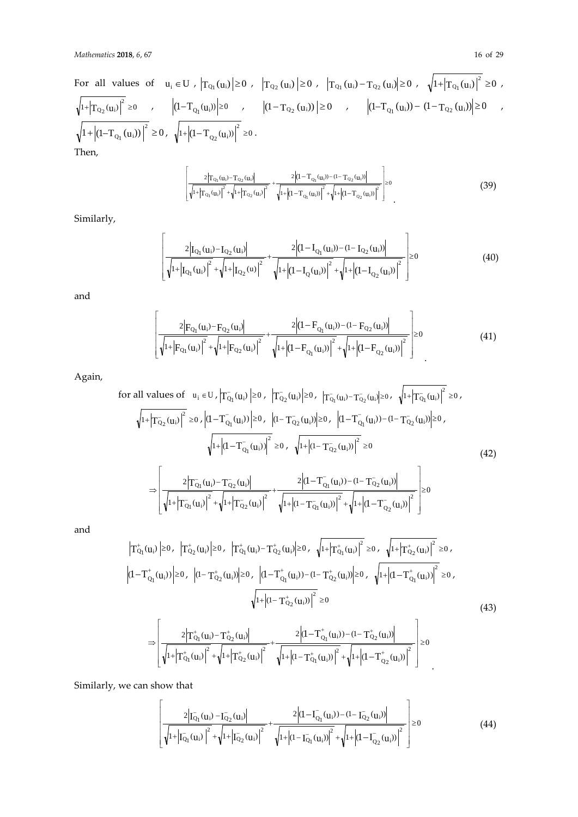For all values of 
$$
u_i \in U
$$
,  $|T_{Q_1}(u_i)| \ge 0$ ,  $|T_{Q_2}(u_i)| \ge 0$ ,  $|T_{Q_1}(u_i) - T_{Q_2}(u_i)| \ge 0$ ,  $\sqrt{1 + |T_{Q_1}(u_i)|^2} \ge 0$ ,  
\n $\sqrt{1 + |T_{Q_2}(u_i)|^2} \ge 0$ ,  $|(1 - T_{Q_1}(u_i))| \ge 0$ ,  $|(1 - T_{Q_2}(u_i))| \ge 0$ ,  $|(1 - T_{Q_1}(u_i)) - (1 - T_{Q_2}(u_i))| \ge 0$ ,  
\n $\sqrt{1 + |(1 - T_{Q_1}(u_i))|^2} \ge 0$ ,  $\sqrt{1 + |(1 - T_{Q_2}(u_i))|^2} \ge 0$ .  
\nThen,

$$
\frac{2\left|T_{Q_1}(u_i)-T_{Q_2}(u_i)\right|}{\sqrt{1+\left|T_{Q_1}(u_i)\right|^2}+\sqrt{1+\left|T_{Q_2}(u_i)\right|^2}}+\frac{2\left|(1-T_{Q_1}(u_i))-1-T_{Q_2}(u_i)\right|}{\sqrt{1+\left|(1-T_{Q_1}(u_i))\right|^2}+\sqrt{1+\left|(1-T_{Q_2}(u_i))\right|^2}}\Bigg| \ge 0
$$
\n(39)

Similarly,

I I I I I

Г

L

$$
\left[\frac{2\left|I_{Q_1}(u_i)-I_{Q_2}(u_i)\right|}{\sqrt{1+\left|I_{Q_1}(u_i)\right|^2}+\sqrt{1+\left|I_{Q_2}(u)\right|^2}}+\frac{2\left|(1-I_{Q_1}(u_i))-1-I_{Q_2}(u_i)\right|}{\sqrt{1+\left|(1-I_{Q}(u_i))\right|^2}+\sqrt{1+\left|(1-I_{Q_2}(u_i))\right|^2}}\right]\geq 0
$$
\n(40)

and

$$
\left[\frac{2\left|F_{Q_1}(u_i)-F_{Q_2}(u_i)\right|}{\sqrt{1+\left|F_{Q_1}(u_i)\right|^2}+\sqrt{1+\left|F_{Q_2}(u_i)\right|^2}}+\frac{2\left|(1-F_{Q_1}(u_i))-(1-F_{Q_2}(u_i))\right|}{\sqrt{1+\left|(1-F_{Q_1}(u_i))\right|^2}+\sqrt{1+\left|(1-F_{Q_2}(u_i))\right|^2}}\right]\geq 0
$$
\n(41)

Again,

for all values of 
$$
u_i \in U
$$
,  $|T_{Q_1}(u_i)| \ge 0$ ,  $|T_{Q_2}(u_i)| \ge 0$ ,  $|T_{Q_1}(u_i) - T_{Q_2}(u_i)| \ge 0$ ,  $\sqrt{1 + |T_{Q_1}(u_i)|^2} \ge 0$ ,  
\n
$$
\sqrt{1 + |T_{Q_2}(u_i)|^2} \ge 0
$$
,  $|(1 - T_{Q_1}(u_i))| \ge 0$ ,  $|(1 - T_{Q_2}(u_i))| \ge 0$ ,  $|(1 - T_{Q_1}(u_i)) - (1 - T_{Q_2}(u_i))| \ge 0$ ,  
\n
$$
\sqrt{1 + |(1 - T_{Q_1}(u_i))|^2} \ge 0
$$
,  $\sqrt{1 + |(1 - T_{Q_2}(u_i))|^2} \ge 0$   
\n
$$
\Rightarrow \left[ \frac{2|T_{Q_1}(u_i) - T_{Q_2}(u_i)|}{\sqrt{1 + |T_{Q_1}(u_i)|^2 + \sqrt{1 + |T_{Q_2}(u_i)|^2}} + \frac{2|(1 - T_{Q_1}(u_i)) - (1 - T_{Q_2}(u_i))|}{\sqrt{1 + |(1 - T_{Q_1}(u_i))|^2 + \sqrt{1 + |(1 - T_{Q_2}(u_i))|^2}} \right] \ge 0
$$
\n(42)

and

$$
|T_{Q_{1}}^{+}(u_{i})| \geq 0, |T_{Q_{2}}^{+}(u_{i})| \geq 0, |T_{Q_{1}}^{+}(u_{i})-T_{Q_{2}}^{+}(u_{i})| \geq 0, \sqrt{1+|T_{Q_{1}}^{+}(u_{i})|}^{2} \geq 0, \sqrt{1+|T_{Q_{2}}^{+}(u_{i})|}^{2} \geq 0, (1-T_{Q_{1}}^{+}(u_{i})) \geq 0, |(1-T_{Q_{2}}^{+}(u_{i}))| \geq 0, |(1-T_{Q_{1}}^{+}(u_{i})) - (1-T_{Q_{2}}^{+}(u_{i}))| \geq 0, \sqrt{1+|(1-T_{Q_{1}}^{+}(u_{i}))|}^{2} \geq 0, \sqrt{1+|(1-T_{Q_{2}}^{+}(u_{i}))|}^{2} \geq 0
$$
\n(43)\n
$$
\Rightarrow \left[\frac{2|T_{Q_{1}}^{+}(u_{i})-T_{Q_{2}}^{+}(u_{i})|}{\sqrt{1+|T_{Q_{1}}^{+}(u_{i})|}^{2}+\sqrt{1+|(1-T_{Q_{1}}^{+}(u_{i}))|}^{2}+\sqrt{1+|(1-T_{Q_{2}}^{+}(u_{i}))|}^{2}}\right] \geq 0
$$

Similarly, we can show that

$$
\left[ \frac{2\left| \overline{I_{Q_1}}(u_i) - \overline{I_{Q_2}}(u_i) \right|}{\sqrt{1 + \left| \overline{I_{Q_1}}(u_i) \right|^2} + \sqrt{1 + \left| \overline{I_{Q_2}}(u_i) \right|^2}} + \frac{2\left| (1 - \overline{I_{Q_1}}(u_i)) - (1 - \overline{I_{Q_2}}(u_i)) \right|}{\sqrt{1 + \left| (1 - \overline{I_{Q_1}}(u_i)) \right|^2} + \sqrt{1 + \left| (1 - \overline{I_{Q_2}}(u_i)) \right|^2}} \right] \ge 0
$$
\n(44)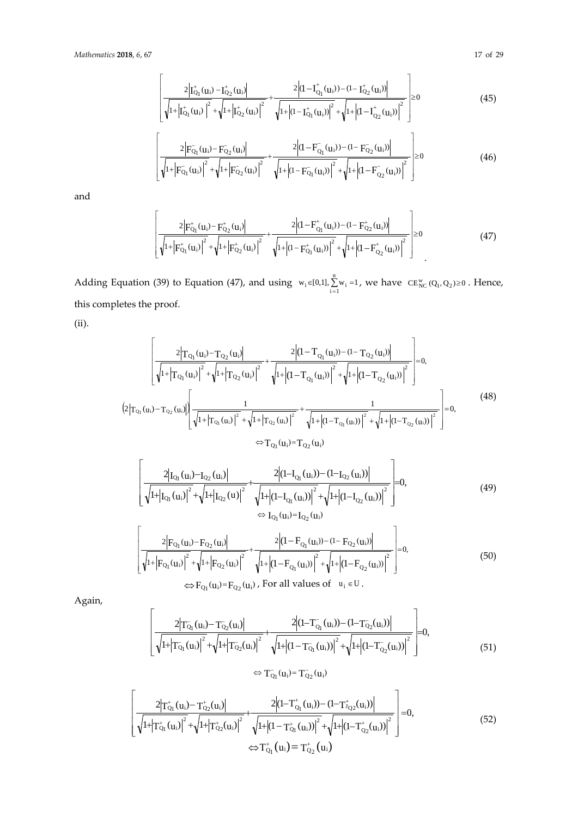$$
\left| \frac{2\left| \mathbf{I}_{Q_1}^{\dagger}(\mathbf{u}_i) - \mathbf{I}_{Q_2}^{\dagger}(\mathbf{u}_i) \right|}{\sqrt{1 + \left| \mathbf{I}_{Q_1}^{\dagger}(\mathbf{u}_i) \right|^2} + \sqrt{1 + \left| \mathbf{I}_{Q_2}^{\dagger}(\mathbf{u}_i) \right|^2}} + \frac{2\left| (\mathbf{I} - \mathbf{I}_{Q_1}^{\dagger}(\mathbf{u}_i)) - (\mathbf{I} - \mathbf{I}_{Q_2}^{\dagger}(\mathbf{u}_i)) \right|}{\sqrt{1 + \left| (\mathbf{I} - \mathbf{I}_{Q_1}^{\dagger}(\mathbf{u}_i)) \right|^2} + \sqrt{1 + \left| (\mathbf{I} - \mathbf{I}_{Q_2}^{\dagger}(\mathbf{u}_i)) \right|^2}} \right| \ge 0
$$
\n(45)

$$
\left| \frac{2 \left| F_{Q_1}(u_i) - F_{Q_2}(u_i) \right|}{\sqrt{1 + \left| F_{Q_1}(u_i) \right|^2} + \sqrt{1 + \left| F_{Q_2}(u_i) \right|^2}} + \frac{2 \left| (1 - F_{Q_1}(u_i)) - (1 - F_{Q_2}(u_i)) \right|}{\sqrt{1 + \left| (1 - F_{Q_1}(u_i)) \right|^2} + \sqrt{1 + \left| (1 - F_{Q_2}(u_i)) \right|^2}} \right| \ge 0 \tag{46}
$$

and

$$
\left[\frac{2\left|F_{Q_1}^+(u_i) - F_{Q_2}^+(u_i)\right|}{\sqrt{1+\left|F_{Q_1}^+(u_i)\right|^2} + \sqrt{1+\left|F_{Q_2}^+(u_i)\right|^2}} + \frac{2\left|(1 - F_{Q_1}^+(u_i)) - (1 - F_{Q_2}^+(u_i))\right|}{\sqrt{1+\left|(1 - F_{Q_1}^+(u_i))\right|^2} + \sqrt{1+\left|(1 - F_{Q_2}^+(u_i))\right|^2}}\right| \ge 0
$$
\n(47)

Adding Equation (39) to Equation (47), and using  $w_i \in [0,1], \sum_{i=1}^{n} w_i = 1$ , we have  $CE_{NC}^{w}(Q_1, Q_2) \ge 0$ . Hence, this completes the proof.

(ii).

$$
\left[\frac{2\left|T_{Q_{1}}(u_{i})-T_{Q_{2}}(u_{i})\right|^{2}}{\sqrt{1+\left|T_{Q_{1}}(u_{i})\right|^{2}+\sqrt{1+\left|T_{Q_{2}}(u_{i})\right|^{2}}}+\frac{2\left|(1-T_{Q_{1}}(u_{i}))-(1-T_{Q_{2}}(u_{i}))\right|^{2}}{\sqrt{1+\left|T_{Q_{1}}(u_{i})\right|^{2}+\sqrt{1+\left|(1-T_{Q_{1}}(u_{i}))\right|^{2}}}+\sqrt{1+\left|(1-T_{Q_{2}}(u_{i}))\right|^{2}}}\right]=0,
$$
\n
$$
(2\left|T_{Q_{1}}(u_{i})-T_{Q_{2}}(u_{i})\right|\left[\frac{1}{\sqrt{1+\left|T_{Q_{1}}(u_{i})\right|^{2}}+\sqrt{1+\left|T_{Q_{2}}(u_{i})\right|^{2}}}+\frac{1}{\sqrt{1+\left|(1-T_{Q_{1}}(u_{i}))\right|^{2}}+\sqrt{1+\left|(1-T_{Q_{2}}(u_{i}))\right|^{2}}}\right]=0,
$$
\n
$$
\Rightarrow T_{Q_{1}}(u_{i})=T_{Q_{2}}(u_{i})
$$
\n
$$
\left[\frac{2\left|I_{Q_{1}}(u_{i})-I_{Q_{2}}(u_{i})\right|^{2}}{\sqrt{1+\left|T_{Q_{2}}(u_{i})\right|^{2}}+\sqrt{1+\left|(1-T_{Q_{2}}(u_{i}))\right|^{2}}}\right]=0,
$$
\n(49)

$$
\left[\sqrt{1+|I_{Q_1}(u_i)|^2} + \sqrt{1+|I_{Q_2}(u)|^2}\right] \sqrt{1+|(1-I_{Q_1}(u_i))|^2} + \sqrt{1+|(1-I_{Q_2}(u_i))|^2}\right]^{-0},
$$
\n
$$
\Leftrightarrow I_{Q_1}(u_i) = I_{Q_2}(u_i)
$$
\n
$$
2|F_{Q_1}(u_i) - F_{Q_2}(u_i)|
$$
\n
$$
\left[2|F_{Q_1}(u_i) - F_{Q_2}(u_i)|\right] \sqrt{1+|(1-I_{Q_1}(u_i))^2} + \sqrt{1+|(1-I_{Q_2}(u_i))^2} \sqrt{1+|(1-I_{Q_2}(u_i))^2} \sqrt{1+|(1-I_{Q_2}(u_i))^2} \sqrt{1+|(1-I_{Q_2}(u_i))^2} \sqrt{1+|(1-I_{Q_2}(u_i))^2} \sqrt{1+|(1-I_{Q_2}(u_i))^2} \sqrt{1+|(1-I_{Q_2}(u_i))^2} \sqrt{1+|(1-I_{Q_2}(u_i))^2} \sqrt{1+|(1-I_{Q_2}(u_i))^2} \sqrt{1+|(1-I_{Q_2}(u_i))^2} \sqrt{1+|(1-I_{Q_2}(u_i))^2} \sqrt{1+|(1-I_{Q_2}(u_i))^2} \sqrt{1+|(1-I_{Q_2}(u_i))^2} \sqrt{1+|(1-I_{Q_2}(u_i))^2} \sqrt{1+|(1-I_{Q_2}(u_i))^2} \sqrt{1+|(1-I_{Q_2}(u_i))^2} \sqrt{1+|(1-I_{Q_2}(u_i))^2} \sqrt{1+|(1-I_{Q_2}(u_i))^2} \sqrt{1+|(1-I_{Q_2}(u_i))^2} \sqrt{1+|(1-I_{Q_2}(u_i))^2} \sqrt{1+|(1-I_{Q_2}(u_i))^2} \sqrt{1+|(1-I_{Q_2}(u_i))^2} \sqrt{1+|(1-I_{Q_2}(u_i))^2} \sqrt{1+|(1-I_{Q_2}(u_i))^2} \sqrt{1+|(1-I_{Q_2}(u_i))^2} \sqrt{1+|(1-I_{Q_2}(u_i))^2} \sqrt{1+|(1-I_{Q_2}(u_i))^2} \sqrt{1+|(1-I_{Q_2}(u_i))^2} \sqrt{1+|(1-I_{Q_2}(u_i))^2} \sqrt{1+|(
$$

$$
\left| \frac{2 \left| F_{Q_1}(u_i) - F_{Q_2}(u_i) \right|}{\sqrt{1 + \left| F_{Q_1}(u_i) \right|^2} + \sqrt{1 + \left| F_{Q_2}(u_i) \right|^2} + \sqrt{1 + \left| (1 - F_{Q_1}(u_i)) \right|^2} + \sqrt{1 + \left| (1 - F_{Q_2}(u_i)) \right|^2}} \right| = 0,
$$
\n
$$
\Leftrightarrow F_{Q_1}(u_i) = F_{Q_2}(u_i), \text{ For all values of } u_i \in U.
$$
\n(50)

Again,

$$
\left[\frac{2\left|T_{Q_1}(u_i)-T_{Q_2}(u_i)\right|}{\sqrt{1+\left|T_{Q_1}(u_i)\right|^2}+\sqrt{1+\left|T_{Q_2}(u_i)\right|^2}}+\frac{2\left|(1-T_{Q_1}(u_i))- (1-T_{Q_2}(u_i))\right|}{\sqrt{1+\left|(1-T_{Q_1}(u_i))\right|^2}+\sqrt{1+\left|(1-T_{Q_2}(u_i))\right|^2}}\right]=0,
$$
\n
$$
\Leftrightarrow T_{Q_1}(u_i)=T_{Q_2}(u_i)
$$
\n(51)

$$
\left[\frac{2\left|T_{Q_1}^+(u_i) - T_{Q_2}^+(u_i)\right|}{\sqrt{1 + \left|T_{Q_1}^+(u_i)\right|^2} + \sqrt{1 + \left|T_{Q_2}^+(u_i)\right|^2}} + \frac{2\left(1 - T_{Q_1}^+(u_i)\right) - (1 - T_{Q_2}^+(u_i))\right|}{\sqrt{1 + \left|1 - T_{Q_1}^+(u_i)\right|^2} + \sqrt{1 + \left|1 - T_{Q_2}^+(u_i)\right|^2}}\right] = 0,
$$
\n
$$
\Leftrightarrow T_{Q_1}^+(u_i) = T_{Q_2}^+(u_i)
$$
\n(52)

 $\overline{a}$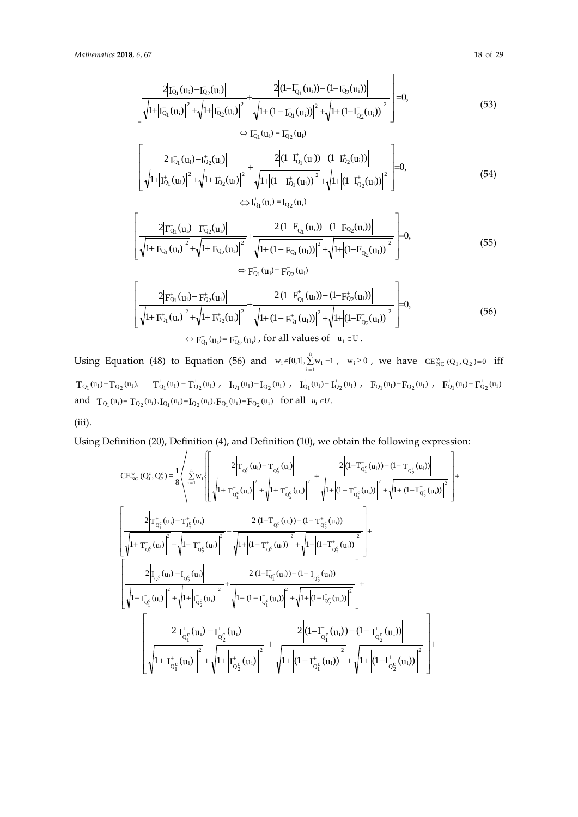$$
\frac{2|I_{\overline{Q}_1}(u_i) - I_{\overline{Q}_2}(u_i)|}{\sqrt{1+|I_{\overline{Q}_1}(u_i)|^2} + \sqrt{1+|I_{\overline{Q}_2}(u_i)|^2}} + \frac{2|_{(1 - I_{\overline{Q}_1}(u_i)) - (1 - I_{\overline{Q}_2}(u_i))|}}{\sqrt{1+|(I - I_{\overline{Q}_1}(u_i))|^2} + \sqrt{1+|(I - I_{\overline{Q}_2}(u_i))|^2}}\Bigg| = 0,
$$
\n
$$
\Leftrightarrow I_{\overline{Q}_1}(u_i) = I_{\overline{Q}_2}(u_i)
$$
\n(53)

$$
\frac{2\left|T_{Q_1}^+(u_i) - T_{Q_2}^+(u_i)\right|}{\sqrt{1+|T_{Q_1}^-(u_i)|}^2 + \sqrt{1+|T_{Q_2}^-(u_i)|}^2} + \frac{2\left|(1-T_{Q_1}^-(u_i)) - (1-T_{Q_2}^+(u_i))\right|}{\sqrt{1+|(1-T_{Q_1}^+(u_i))|^2} + \sqrt{1+|(1-T_{Q_2}^+(u_i))|^2}}\right|=0,
$$
\n(54)

$$
\left[\frac{2\left|F_{Q_1}(u_i) - F_{Q_2}(u_i)\right|}{\sqrt{1 + \left|F_{Q_1}(u_i)\right|^2} + \sqrt{1 + \left|F_{Q_2}(u_i)\right|^2}} + \frac{2\left|(1 - F_{Q_1}(u_i)) - (1 - F_{Q_2}(u_i))\right|}{\sqrt{1 + \left|(1 - F_{Q_1}(u_i))\right|^2} + \sqrt{1 + \left|(1 - F_{Q_2}(u_i))\right|^2}}\right] = 0,
$$
\n
$$
\Leftrightarrow F_{Q_1}(u_i) = F_{Q_2}(u_i)
$$
\n(55)

$$
\left[\frac{2\left|F_{Q_1}^+(u_i) - F_{Q_2}^+(u_i)\right|}{\sqrt{1+}\left|F_{Q_1}^+(u_i)\right|^2 + \sqrt{1+}\left|F_{Q_2}^+(u_i)\right|^2} + \frac{2\left|(1-F_{Q_1}^+(u_i)) - (1-F_{Q_2}^+(u_i))\right|}{\sqrt{1+}\left|(1-F_{Q_1}^+(u_i))\right|^2 + \sqrt{1+}\left|(1-F_{Q_2}^+(u_i))\right|^2}\right] = 0,
$$
\n
$$
\Leftrightarrow F_{Q_1}^+(u_i) = F_{Q_2}^+(u_i) \text{, for all values of } u_i \in U.
$$
\n(56)

Using Equation (48) to Equation (56) and  $w_i \in [0,1], \sum_{i=1}^{n} w_i = 1$ ,  $w_i \ge 0$ , we have  $CE_{NC}^{w}(Q_1, Q_2) = 0$  iff  $\label{eq:4.10} T_{Q_1}^-(u_i) = T_{Q_2}^-(u_i), \qquad T_{Q_1}^+(u_i) = T_{Q_2}^+(u_i) \ , \quad I_{Q_1}^-(u_i) = I_{Q_2}^-(u_i) \ , \quad I_{Q_1}^+(u_i) = I_{Q_2}^+(u_i) \ , \quad F_{Q_1}^-(u_i) = F_{Q_2}^-(u_i) \ , \quad F_{Q_1}^+(u_i) = F_{Q_2}^+(u_i)$ and  $T_{Q_1}(u_i) = T_{Q_2}(u_i)$ ,  $I_{Q_1}(u_i) = I_{Q_2}(u_i)$ ,  $F_{Q_1}(u_i) = F_{Q_2}(u_i)$  for all  $u_i \in U$ .

(iii).

Using Definition (20), Definition (4), and Definition (10), we obtain the following expression:

$$
CE_{NC}^{w} (Q_{i}^{c}, Q_{2}^{c}) = \frac{1}{8} \left( \sum_{i=1}^{n} w_{i} \left[ \frac{2 \left| T_{Q_{i}^{c}}(u_{i}) - T_{Q_{2}^{c}}(u_{i}) \right|^{2}}{\sqrt{1 + \left| T_{Q_{i}^{c}}(u_{i}) \right|^{2}} + \sqrt{1 + \left| T_{Q_{2}^{c}}(u_{i}) \right|^{2}} + \frac{2 \left| (1 - T_{Q_{i}^{c}}(u_{i})) - (1 - T_{Q_{2}^{c}}(u_{i})) \right|^{2}}{\sqrt{1 + \left| T_{Q_{i}^{c}}(u_{i}) \right|^{2}} + \sqrt{1 + \left| T_{Q_{2}^{c}}(u_{i}) \right|^{2}} + \sqrt{1 + \left| T_{Q_{2}^{c}}(u_{i}) \right|^{2}} + \sqrt{1 + \left| (1 - T_{Q_{1}^{c}}(u_{i})) \right|^{2}} + \sqrt{1 + \left| (1 - T_{Q_{2}^{c}}(u_{i})) \right|^{2}} \right] + \frac{2 \left| (1 - T_{Q_{1}^{c}}^{t}(u_{i})) - (1 - T_{Q_{2}^{c}}^{t}(u_{i})) \right|^{2}}{\sqrt{1 + \left| T_{Q_{i}^{c}}^{t}(u_{i}) \right|^{2}} + \sqrt{1 + \left| T_{Q_{2}^{c}}(u_{i}) \right|^{2}} + \sqrt{1 + \left| (1 - T_{Q_{2}^{c}}^{t}(u_{i})) \right|^{2}} + \sqrt{1 + \left| (1 - T_{Q_{2}^{c}}^{t}(u_{i})) \right|^{2}} \right] + \frac{2 \left| T_{Q_{i}^{c}}(u_{i}) - T_{Q_{2}^{c}}(u_{i}) \right|^{2}}{\sqrt{1 + \left| T_{Q_{i}^{c}}^{t}(u_{i}) \right|^{2}} + \sqrt{1 + \left| (1 - T_{Q_{i}^{c}}(u_{i})) \right|^{2}} + \sqrt{1 + \left| (1 - T_{Q_{2}^{c}}^{t}(u_{i})) \right|^{2}} + \sqrt{1 + \left| (1 - T_{Q_{2}^{c}}^{t}(u_{i})) \right|^{2}} \right] + \frac{2 \left| T_{Q_{1}^{c}}(u_{i}) - T_{Q_{2}^{c}}^{t}(u_{i}) \right|^{2}}{\sqrt{1
$$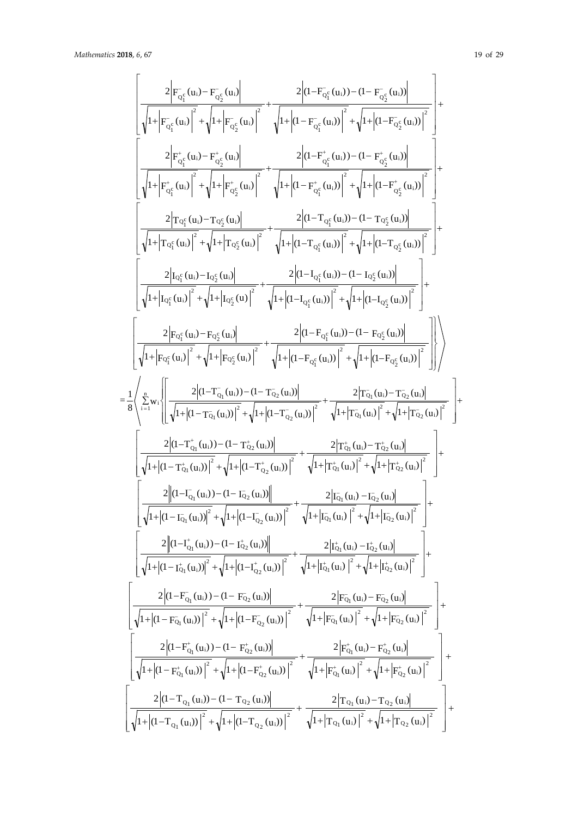$$
\begin{bmatrix} \frac{2\left|F_{\sigma_{1}^{x}}(u_{1})-F_{\sigma_{2}^{x}}(u_{2})\right|^{2}}{\sqrt{1+\left|F_{\sigma_{1}^{x}}(u_{1})\right|^{2}}+\sqrt{1+\left|F_{\sigma_{2}^{x}}(u_{2})\right|^{2}}+\sqrt{1+\left|G_{-\sigma_{1}^{x}}(u_{2})\right|^{2}}+\sqrt{1+\left|G_{-\sigma_{1}^{x}}(u_{2})\right|^{2}}+\sqrt{1+\left|G_{-\sigma_{1}^{x}}(u_{2})\right|^{2}}+\sqrt{1+\left|G_{-\sigma_{1}^{x}}(u_{2})\right|^{2}}+\sqrt{1+\left|G_{-\sigma_{1}^{x}}(u_{2})\right|^{2}}+\sqrt{1+\left|G_{-\sigma_{1}^{x}}(u_{2})\right|^{2}}+\sqrt{1+\left|G_{-\sigma_{1}^{x}}(u_{2})\right|^{2}}+\sqrt{1+\left|G_{-\sigma_{1}^{x}}(u_{2})\right|^{2}}+\sqrt{1+\left|G_{-\sigma_{1}^{x}}(u_{2})\right|^{2}}+\sqrt{1+\left|G_{-\sigma_{1}^{x}}(u_{2})\right|^{2}}+\sqrt{1+\left|G_{-\sigma_{1}^{x}}(u_{2})\right|^{2}}+\sqrt{1+\left|G_{-\sigma_{1}^{x}}(u_{2})\right|^{2}}+\sqrt{1+\left|G_{-\sigma_{1}^{x}}(u_{2})\right|^{2}}+\sqrt{1+\left|G_{-\sigma_{1}^{x}}(u_{2})\right|^{2}}+\sqrt{1+\left|G_{-\sigma_{1}^{x}}(u_{2})\right|^{2}}+\sqrt{1+\left|G_{-\sigma_{1}^{x}}(u_{2})\right|^{2}}+\sqrt{1+\left|G_{-\sigma_{1}^{x}}(u_{2})\right|^{2}}+\sqrt{1+\left|G_{-\sigma_{1}^{x}}(u_{2})\right|^{2}}+\sqrt{1+\left|G_{-\sigma_{1}^{x}}(u_{2})\right|^{2}}+\sqrt{1+\left|G_{-\sigma_{1}^{x}}(u_{2})\right|^{2}}+\sqrt{1+\left|G_{-\sigma_{1}^{x}}(u_{2})\right|^{2}}+\sqrt{1+\left|G_{-\sigma_{1}^{x}}(u_{2})\right|^{2}}+\sqrt{1+\left|G_{-\sigma_{1}^{x}}(u_{2})\right|^{2}}+\sqrt{1+\left|G_{-\
$$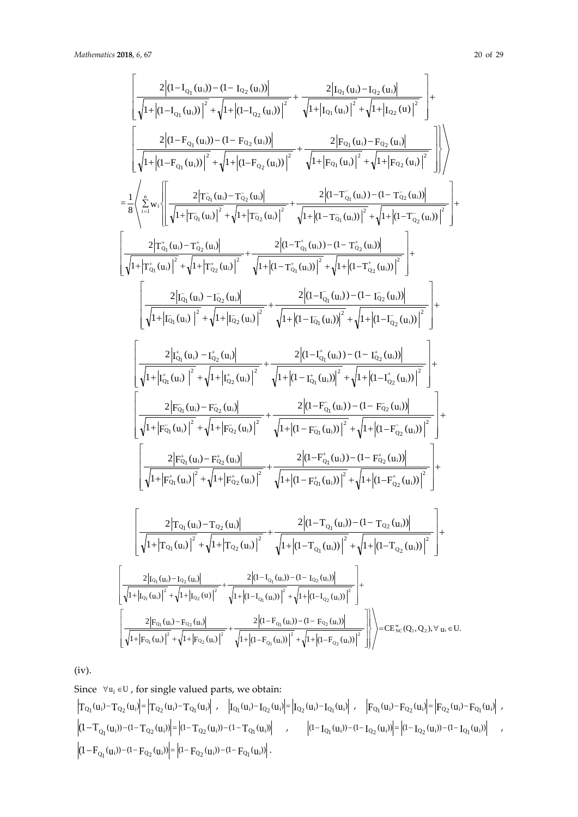$$
\begin{bmatrix} \frac{2|d-I_{Q_{1}}(u_{1})-d-I_{Q_{2}}(u_{1})|}{\sqrt{1+|d-I_{Q_{1}}(u_{1})|^{2}}+\sqrt{1+|d-I_{Q_{2}}(u_{1})|^{2}}}+\frac{2|I_{Q_{1}}(u_{1})-I_{Q_{2}}(u_{1})|}{\sqrt{1+|t_{Q_{1}}(u_{1})|^{2}+\sqrt{1+|t_{Q_{1}}(u_{1})|^{2}}}+\sqrt{1+|t_{Q_{1}}(u_{1})|^{2}+\sqrt{1+|t_{Q_{2}}(u_{1})|^{2}}}\\\frac{2|d-I_{Q_{1}}(u_{1}))-d-I_{Q_{2}}(u_{1})|}{\sqrt{1+|d-I_{Q_{1}}(u_{1})|^{2}}+\sqrt{1+|d-I_{Q_{2}}(u_{1})|^{2}}}+\frac{2|F_{Q_{1}}(u_{1})-F_{Q_{2}}(u_{1})|}{\sqrt{1+|F_{Q_{1}}(u_{1})|^{2}}+\sqrt{1+|F_{Q_{2}}(u_{1})|^{2}}}\\\frac{2}{8}\sqrt{\sum_{i=1}^{N}w_{i}\left\{\frac{2|T_{Q_{1}}(u_{1})-T_{Q_{2}}(u_{1})|}{\sqrt{1+|T_{Q_{1}}(u_{1})|^{2}}+\sqrt{1+|T_{Q_{2}}(u_{1})|^{2}}+\sqrt{1+|d-I_{Q_{1}}(u_{1})|^{2}+\sqrt{1+|d-I_{Q_{2}}(u_{1})|^{2}}}\\\frac{2|T_{Q_{1}}^{*}(u_{1})-T_{Q_{2}}^{*}(u_{1})|}{\sqrt{1+|T_{Q_{1}}(u_{1})|^{2}}+\sqrt{1+|d-I_{Q_{1}}^{*}(u_{1})|^{2}}}+\frac{2|d-I_{Q_{1}}^{*}(u_{1}))-d-I_{Q_{2}}^{*}(u_{1})|^{2}}{\sqrt{1+|d-I_{Q_{2}}^{*}(u_{1})|^{2}}}\\\frac{2|T_{Q_{1}}^{*}(u_{1})-T_{Q_{2}}^{*}(u_{1})|^{2}}{\sqrt{1+|t_{Q_{1}}(u_{1})|^{2}}+\sqrt{1+|d-I_{Q_{1}}^{*}(u_{1})|^{2}}}+\frac{2|d-I_{Q_{1}}(u_{1}))-d-I_{Q_{2}}^{*}(u_{1})|^{2}}{\sqrt{1+|d-I_{Q_{2}}^{*}(u_{
$$

(iv).

Since 
$$
\forall u_i \in U
$$
, for single valued parts, we obtain:  
\n
$$
\left|T_{Q_1}(u_i) - T_{Q_2}(u_i)\right| = \left|T_{Q_2}(u_i) - T_{Q_1}(u_i)\right|, \quad \left|I_{Q_1}(u_i) - I_{Q_2}(u_i)\right| = \left|I_{Q_2}(u_i) - I_{Q_1}(u_i)\right|, \quad \left|F_{Q_1}(u_i) - F_{Q_2}(u_i)\right| = \left|F_{Q_2}(u_i) - F_{Q_1}(u_i)\right|,
$$
\n
$$
\left| (1 - T_{Q_1}(u_i)) - (1 - T_{Q_2}(u_i)) \right| = \left| (1 - T_{Q_2}(u_i)) - (1 - T_{Q_1}(u_i)) \right|, \quad \left| (1 - I_{Q_1}(u_i)) - (1 - I_{Q_2}(u_i)) - (1 - I_{Q_1}(u_i)) \right|,
$$
\n
$$
\left| (1 - F_{Q_1}(u_i)) - (1 - F_{Q_2}(u_i)) \right| = \left| (1 - F_{Q_2}(u_i)) - (1 - F_{Q_1}(u_i)) \right|.
$$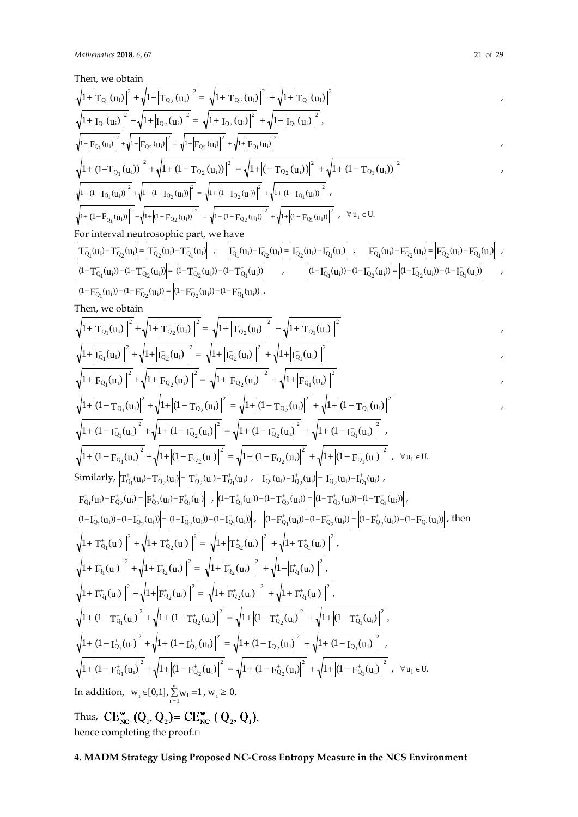Then, we obtain 2  $_{\mathrm{Q}_1}$  (u<sub>i</sub> 2  $_{\mathrm{Q_2}}$  \u<sub>i</sub> 2  $_{\mathrm{Q_2}}$  (u<sub>i</sub>  $\sqrt{1+\left|T_{Q_1}(u_i)\right|^2+\sqrt{1+\left|T_{Q_2}(u_i)\right|^2}=\sqrt{1+\left|T_{Q_2}(u_i)\right|^2+\sqrt{1+\left|T_{Q_1}(u_i)\right|^2}}$  $\sqrt{1+|I_{Q_1}(u_i)|^2} + \sqrt{1+|I_{Q_2}(u_i)|^2} = \sqrt{1+|I_{Q_2}(u_i)|^2} + \sqrt{1+|I_{Q_1}(u_i)|^2}$  $_{\mathrm{Q_1}}$  (u<sub>i</sub> 2  $_{\mathrm{Q_2}}$  (u<sub>i</sub> 2  $_{\mathrm{Q_2}}$  (u<sub>i</sub>  $+\left|I_{\mathrm{Q}_1}(\mathrm{u_i})\right|^2+\sqrt{1+}\left|I_{\mathrm{Q}_2}(\mathrm{u_i})\right|^2=\sqrt{1+}\left|I_{\mathrm{Q}_2}(\mathrm{u_i})\right|^2\ +\sqrt{1+}$ 2  $Q_1 \setminus u_1$ 2  $Q_2$  \u<sub>i</sub> 2  $_{\mathrm{Q_2}}$   $\mathrm{u_i}$  $\sqrt{1+|F_{Q_1}(u_i)|^2} + \sqrt{1+|F_{Q_2}(u_i)|^2} = \sqrt{1+|F_{Q_2}(u_i)|^2} + \sqrt{1+|F_{Q_1}(u_i)|^2}$ 2  $_{\mathrm{Q}_1}$  \u<sub>i</sub> 2  $_{\mathrm{Q_2}}$  \u<sub>i</sub> 2  $_{\mathrm{Q_2}}$  \u<sub>i</sub>  $\sqrt{1+|(1-T_{Q_1}(u_i))|^2} + \sqrt{1+|(1-T_{Q_2}(u_i))|^2} = \sqrt{1+|(-T_{Q_2}(u_i))|^2} + \sqrt{1+|(1-T_{Q_1}(u_i))|^2}$ 2  $Q_1 \setminus u_1$ 2  $_{\mathrm{Q_2}}$   $\mathrm{u_i}$ 2  $_{\mathrm{Q_2}}$  u<sub>i</sub>  $\left|1+\left|\left(1-\text{I}_{\text{Q}_1}(\text{u}_i)\right)\right|^2+\sqrt{1+\left|\left(1-\text{I}_{\text{Q}_2}(\text{u}_i)\right)\right|^2}=\sqrt{1+\left|\left(1-\text{I}_{\text{Q}_2}(\text{u}_i)\right)\right|^2}+\sqrt{1+\left|\left(1-\text{I}_{\text{Q}_1}(\text{u}_i)\right)\right|^2}$ 2  $Q_1 \setminus u_i$ 2  $Q_2$  \u<sub>i</sub> 2  $Q_2$  \cmu i  $\left|1+\left|\left(1-F_{Q_1}(u_i)\right)\right|^2+\sqrt{1+\left|(1-F_{Q_2}(u_i))\right|^2}=\sqrt{1+\left|(1-F_{Q_2}(u_i))\right|^2}+\sqrt{1+\left|(1-F_{Q_1}(u_i))\right|^2}$ ,  $\forall u_i \in U$ . For interval neutrosophic part, we have  $T_{Q_1}^-(u_i) - T_{Q_2}^-(u_i) = \left| T_{Q_2}^-(u_i) - T_{Q_1}^-(u_i) \right|$  ,  $\left| T_{Q_1}^-(u_i) - T_{Q_2}^-(u_i) \right| = \left| T_{Q_2}^-(u_i) - T_{Q_1}^-(u_i) \right|$  ,  $\left| F_{Q_1}^-(u_i) - F_{Q_2}^-(u_i) \right| = \left| F_{Q_2}^-(u_i) - F_{Q_1}^-(u_i) \right|$  $(1 - T_{Q_1}^-(u_i)) - (1 - T_{Q_2}^-(u_i)) = |(1 - T_{Q_2}^-(u_i)) - (1 - T_{Q_1}^-(u_i))|$  ,  $(1 - T_{Q_1}^-(u_i)) - (1 - T_{Q_2}^-(u_i))| = |(1 - T_{Q_2}^-(u_i)) - (1 - T_{Q_1}^-(u_i))|$  $(1 - F_{Q_1}^-(u_i)) - (1 - F_{Q_2}^-(u_i)) = |(1 - F_{Q_2}^-(u_i)) - (1 - F_{Q_1}^-(u_i))|$ . Then, we obtain 2  $Q_1$  \ U i 2  $Q_2$  U<sub>i</sub> 2  $_{\rm Q_2}$  \ U<sub>i</sub>  $\sqrt{1+\left|T_{Q_1}^-(u_i)\right|^2+\sqrt{1+\left|T_{Q_2}^-(u_i)\right|^2}=\sqrt{1+\left|T_{Q_2}^-(u_i)\right|^2+\sqrt{1+\left|T_{Q_1}^-(u_i)\right|^2}}$ 2  $Q_1$  (U<sub>i</sub> 2  $Q_2$  \  $U_1$ 2  $Q_2$  (U<sub>i</sub>  $\sqrt{1+\left|I_{Q_1}^-(u_i)\right|^2}+\sqrt{1+\left|I_{Q_2}^-(u_i)\right|^2}=\sqrt{1+\left|I_{Q_2}^-(u_i)\right|^2}+\sqrt{1+\left|I_{Q_1}^-(u_i)\right|^2}$ 2  $Q_1$  \  $U_1$ 2  $Q_2$  \  $U_1$ 2  $Q_2$  \  $U_1$  $\sqrt{1+}\left|F_{\text{Q}_1}^-(\text{u}_i)\right|^2+\sqrt{1+}\left|F_{\text{Q}_2}^-(\text{u}_i)\right|^2=\sqrt{1+}\left|F_{\text{Q}_2}^-(\text{u}_i)\right|^2+\sqrt{1+}\left|F_{\text{Q}_1}^-(\text{u}_i)\right|^2$ 2  $Q_1$  \  $U_i$ 2  $Q_2$  \  $U_i$ 2  $Q_2$  \  $U_1$  $\sqrt{1+}\left|{(1-{\rm T}_{\rm Q_1}({\rm u_{\rm i}})\right|^2+\sqrt{1+}\left|{(1-{\rm T}_{\rm Q_2}({\rm u_{\rm i}})\right|^2}\right|^2}=\sqrt{1+}\left|{(1-{\rm T}_{\rm Q_2}({\rm u_{\rm i}})\right|^2}+\sqrt{1+}\left|{(1-{\rm T}_{\rm Q_1}^{\rm T}({\rm u_{\rm i}})\right|^2}+\sqrt{1+}{\rm T}_{\rm Q_2}^{\rm T}({\rm u_{\rm i}})\right|^2}$ 2  $Q_1$  (U<sub>i</sub> 2  $Q_2$  U<sub>i</sub> 2  $_{\rm Q_2}$  \u<sub>i</sub>  $\sqrt{1+}(1-\text{I}_{\text{Q}_1}(\text{u}_i))^2+\sqrt{1+}(1-\text{I}_{\text{Q}_2}(\text{u}_i))^2=\sqrt{1+}(1-\text{I}_{\text{Q}_2}(\text{u}_i))^2+\sqrt{1+}(1-\text{I}_{\text{Q}_1}(\text{u}_i))^2}$ 2  $Q_1$  \  $U_i$ 2  $Q_2$  \  $U_1$ 2  $Q_2$  \  $U_1$  $\sqrt{1+}\left| \left(1-\mathrm{F}_{\mathrm{Q}_1}^{\mathrm{-}}(u_i)\right|^2+\sqrt{1+}\left| \left(1-\mathrm{F}_{\mathrm{Q}_2}^{\mathrm{-}}(u_i)\right)^2\right|^2+\sqrt{1+}\left| \left(1-\mathrm{F}_{\mathrm{Q}_1}^{\mathrm{-}}(u_i)\right)^2\right|^2}$  ,  $\forall u_i \in \mathrm{U}$ . Similarly,  $\left|T^+_{Q_1}(u_i) - T^+_{Q_2}(u_i)\right| = \left|T^+_{Q_2}(u_i) - T^+_{Q_1}(u_i)\right|, \quad \left|I^+_{Q_1}(u_i) - I^+_{Q_2}(u_i)\right| = \left|I^+_{Q_2}(u_i) - I^+_{Q_1}(u_i)\right|,$  $F_{Q_1}^{\dagger}(u_i) - F_{Q_2}^{\dagger}(u_i) = \left| F_{Q_2}^{\dagger}(u_i) - F_{Q_1}^{\dagger}(u_i) \right|$ ,  $\left| (1 - T_{Q_1}^{\dagger}(u_i)) - (1 - T_{Q_2}^{\dagger}(u_i)) \right| = \left| (1 - T_{Q_2}^{\dagger}(u_i)) - (1 - T_{Q_1}^{\dagger}(u_i)) \right|$  $(1 - \mathbf{I}_{Q_1}^+(u_i)) - (1 - \mathbf{I}_{Q_2}^+(u_i)) = |(1 - \mathbf{I}_{Q_2}^+(u_i)) - (1 - \mathbf{I}_{Q_1}^+(u_i))|,$   $\left| (1 - \mathbf{F}_{Q_1}^+(u_i)) - (1 - \mathbf{F}_{Q_2}^+(u_i)) \right| = |(1 - \mathbf{F}_{Q_2}^+(u_i)) - (1 - \mathbf{F}_{Q_1}^+(u_i))|,$  then  $\sqrt{1+\left|{\rm T}^+_{\rm Q_{1}}({\rm u}_{\rm i})\right|^2+\sqrt{1+\left|{\rm T}^+_{\rm Q_{2}}({\rm u}_{\rm i})\right|^2}\,=\,\sqrt{1+\left|{\rm T}^+_{\rm Q_{2}}({\rm u}_{\rm i})\right|^2}\,+\sqrt{1+\left|{\rm T}^+_{\rm Q_{1}}({\rm u}_{\rm i})\right|^2}\;,$  $Q_1$  (U<sub>i</sub> 2  $Q_2$  U<sub>i</sub> 2  $_{\rm Q_2}$  (u<sub>i</sub> 2  $\left|T^+_{Q_1}(u_i)\right|^2 + \sqrt{1+|T^+_{Q_2}(u_i)|}^2 = \sqrt{1+|T^+_{Q_2}(u_i)|}^2 + \sqrt{1+|T^+_{Q_2}(u_i)|}^2$  $\sqrt{1+|I_{\text{Q}_1}^+(u_i)|}^2+\sqrt{1+|I_{\text{Q}_2}^+(u_i)|}^2=\sqrt{1+|I_{\text{Q}_2}^+(u_i)|}^2+\sqrt{1+|I_{\text{Q}_1}^+(u_i)|}^2,$  $Q_1$  (U<sub>i</sub> 2  $_{\rm Q_2}$  (u<sub>i</sub> 2  $_{\rm Q_2}$  (u<sub>i</sub> 2  $+ \left| I_{Q_1}^{\dagger}(u_i) \right|^2 + \sqrt{1 + \left| I_{Q_2}^{\dagger}(u_i) \right|^2} = \sqrt{1 + \left| I_{Q_2}^{\dagger}(u_i) \right|^2} + \sqrt{1 + \left| I_{Q_2}^{\dagger}(u_i) \right|^2}$  $\left|1+\left|F_{\mathrm{Q}_1}^{\mathrm{+}}(u_{\mathrm{i}})\right|\right|^2+\sqrt{1+\left|F_{\mathrm{Q}_2}^{\mathrm{+}}(u_{\mathrm{i}})\right|^2}=\sqrt{1+\left|F_{\mathrm{Q}_2}^{\mathrm{+}}(u_{\mathrm{i}})\right|^2}+\sqrt{1+\left|F_{\mathrm{Q}_1}^{\mathrm{+}}(u_{\mathrm{i}})\right|^2}\right|^2,$  $Q_1 \setminus u_i$ 2  $_{\rm Q_2}$  \  $\rm u_i$ 2  $_{\rm Q_2}$  \  $\rm u_i$ 2  $+ \Big| F_{Q_1}^{\dagger}(u_i) \Big|^2 + \sqrt{1 +} \Big| F_{Q_2}^{\dagger}(u_i) \Big|^2 = \sqrt{1 +} \Big| F_{Q_2}^{\dagger}(u_i) \Big|^2 + \sqrt{1 +} \Big| F_C^{\dagger}(u_i) \Big|^2$  $\int_0^1 |A_1|^2 |(1-T_{\rm Q_1}^{\rm t}(u_i)|^2+ \sqrt{1+|(1-T_{\rm Q_2}^{\rm t}(u_i)|^2}=\sqrt{1+|(1-T_{\rm Q_2}^{\rm t}(u_i)|^2}+\sqrt{1+|(1-T_{\rm Q_1}^{\rm t}(u_i)|^2})\,,$  $Q_1$  (U<sub>i</sub> 2  $Q_2$  U<sub>i</sub> 2  $Q_2$  (U<sub>i</sub> 2  $+ |(1-T^+_{Q_1}(u_i)|^2 + \sqrt{1+ |(1-T^+_{Q_2}(u_i)|^2 + \sqrt{1+ |(1-T^+_{Q_2}(u_i)|^2 + \sqrt{1+ |(1-T^+_{Q_2}(u_i)|^2 + \sqrt{1+ |(1-T^+_{Q_2}(u_i)|^2 + \sqrt{1+ |(1-T^+_{Q_2}(u_i)|^2 + \sqrt{1+ |(1-T^+_{Q_2}(u_i)|^2 + \sqrt{1+ |(1-T^+_{Q_2}(u_i)|^2 + \sqrt{1+ |(1-T^+_{Q_2}(u_i)|^2 + \sqrt{1+ |(1-T^+_{Q_2}(u_i)|^2 + \sqrt{1$ 2  $Q_1$  (U<sub>i</sub> 2  $Q_2$  U<sub>i</sub> 2  $Q_2$  (U<sub>i</sub>  $\sqrt{1+}\left| (1-\mathbf{I}_{\text{Q}_1}^{\text{+}}(\textbf{u}_i)) \right|^2 + \sqrt{1+}\left| (1-\mathbf{I}_{\text{Q}_2}^{\text{+}}(\textbf{u}_i)) \right|^2\right| = \sqrt{1+}\left| (1-\mathbf{I}_{\text{Q}_2}^{\text{+}}(\textbf{u}_i)) \right|^2 + \sqrt{1+}\left| (1-\mathbf{I}_{\text{Q}_1}^{\text{+}}(\textbf{u}_i)) \right|^2\right| \; ,$ 2  $Q_1$  \  $U_i$ 2  $Q_2$  \ U<sub>i</sub> 2  $_{\rm Q_2}$  \  $\mu_i$  $\left| 1 + \left| (1 - F_{Q_1}^+(u_i) \right|^2 + \sqrt{1 + \left| (1 - F_{Q_2}^+(u_i) \right|^2} \right|^2) = \sqrt{1 + \left| (1 - F_{Q_2}^+(u_i) \right|^2} + \sqrt{1 + \left| (1 - F_{Q_1}^+(u_i) \right|^2} \right)^2$ ,  $\forall u_i \in U$ . In addition,  $w_i \in [0,1], \sum_{i=1}^{n} w_i = 1$ ,  $w_i \ge 0$ . Thus,  $CE_{NC}^{w} (Q_1, Q_2) = CE_{NC}^{w} (Q_2, Q_1)$ . hence completing the proof.□

# **4. MADM Strategy Using Proposed NC-Cross Entropy Measure in the NCS Environment**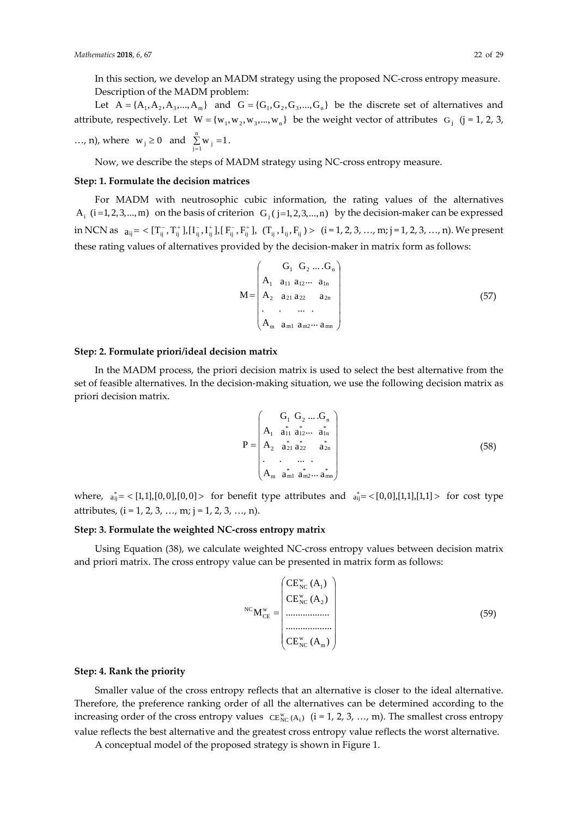In this section, we develop an MADM strategy using the proposed NC-cross entropy measure. Description of the MADM problem:

Let  $A = \{A_1, A_2, A_3, ..., A_m\}$  and  $G = \{G_1, G_2, G_3, ..., G_n\}$  be the discrete set of alternatives and attribute, respectively. Let  $W = \{w_1, w_2, w_3, ..., w_n\}$  be the weight vector of attributes  $G_j$  (j = 1, 2, 3, ..., n), where  $w_j \ge 0$  and  $\sum_{j=1}^{n} w_j = 1$ .

Now, we describe the steps of MADM strategy using NC-cross entropy measure.

#### **Step: 1. Formulate the decision matrices**

For MADM with neutrosophic cubic information, the rating values of the alternatives A<sub>i</sub> (i=1, 2, 3, ..., m) on the basis of criterion  $G_i$  ( j=1, 2, 3, ..., n) by the decision-maker can be expressed in NCN as  $a_{ij} = \langle [T_{ij}^-, T_{ij}^+], [I_{ij}^-, I_{ij}^+], [F_{ij}^-, F_{ij}^+], (T_{ij}, I_{ij}, F_{ij}) \rangle$   $(i = 1, 2, 3, ..., m; j = 1, 2, 3, ..., n)$ . We present these rating values of alternatives provided by the decision-maker in matrix form as follows:

$$
M = \begin{pmatrix} G_1 & G_2 & \dots & G_n \\ A_1 & a_{11} & a_{12} & \dots & a_{1n} \\ A_2 & a_{21} & a_{22} & a_{2n} \\ \vdots & \vdots & \ddots & \vdots \\ A_m & a_{m1} & a_{m2} & \dots & a_{mn} \end{pmatrix}
$$
 (57)

#### **Step: 2. Formulate priori/ideal decision matrix**

In the MADM process, the priori decision matrix is used to select the best alternative from the set of feasible alternatives. In the decision-making situation, we use the following decision matrix as priori decision matrix.

$$
P = \begin{pmatrix} G_1 & G_2 & \dots & G_n \\ A_1 & a_{11} & a_{12} & \dots & a_{1n} \\ A_2 & a_{21} & a_{22} & a_{2n} \\ \vdots & \vdots & \ddots & \vdots \\ A_m & a_{m1} & a_{m2} & \dots & a_{mn} \end{pmatrix}
$$
 (58)

where,  $a_{ij}^* = \langle [1,1], [0,0], [0,0] \rangle$  for benefit type attributes and  $a_{ij}^* = \langle [0,0], [1,1], [1,1] \rangle$  for cost type attributes,  $(i = 1, 2, 3, ..., m; j = 1, 2, 3, ..., n)$ .

#### **Step: 3. Formulate the weighted NC-cross entropy matrix**

Using Equation (38), we calculate weighted NC-cross entropy values between decision matrix and priori matrix. The cross entropy value can be presented in matrix form as follows:

$$
{}^{NC}M_{CE}^{w} = \begin{pmatrix} CE_{NC}^{w}(A_{1}) \\ CE_{NC}^{w}(A_{2}) \\ \vdots \\ \vdots \\ CE_{NC}^{w}(A_{m}) \end{pmatrix}
$$
 (59)

#### **Step: 4. Rank the priority**

Smaller value of the cross entropy reflects that an alternative is closer to the ideal alternative. Therefore, the preference ranking order of all the alternatives can be determined according to the increasing order of the cross entropy values  $CE^w_{NC}(A_i)$  (i = 1, 2, 3, ..., m). The smallest cross entropy value reflects the best alternative and the greatest cross entropy value reflects the worst alternative.

A conceptual model of the proposed strategy is shown in Figure 1.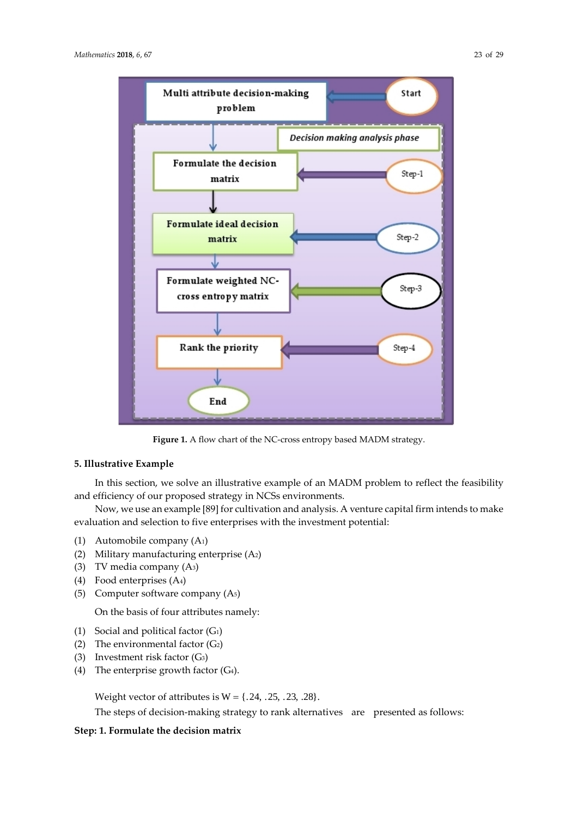

Step-3

Step-4

**Figure 1.** A flow chart of the NC-cross entropy based MADM strategy.

# **5. Illustrative Example**

In this section, we solve an illustrative example of an MADM problem to reflect the feasibility and efficiency of our proposed strategy in NCSs environments.

Now, we use an example [89] for cultivation and analysis. A venture capital firm intends to make evaluation and selection to five enterprises with the investment potential:

- (1) Automobile company (A1)
- (2) Military manufacturing enterprise (A2)
- (3) TV media company (A3)
- (4) Food enterprises (A4)
- (5) Computer software company (A5)

On the basis of four attributes namely:

- (1) Social and political factor (G1)
- (2) The environmental factor  $(G_2)$
- (3) Investment risk factor (G3)
- (4) The enterprise growth factor  $(G<sub>4</sub>)$ .

Weight vector of attributes is  $W = \{0.24, 0.25, 0.23, 0.28\}$ .

Formulate weighted NC-

cross entropy matrix

**Rank the priority** 

End

The steps of decision-making strategy to rank alternatives are presented as follows:

# **Step: 1. Formulate the decision matrix**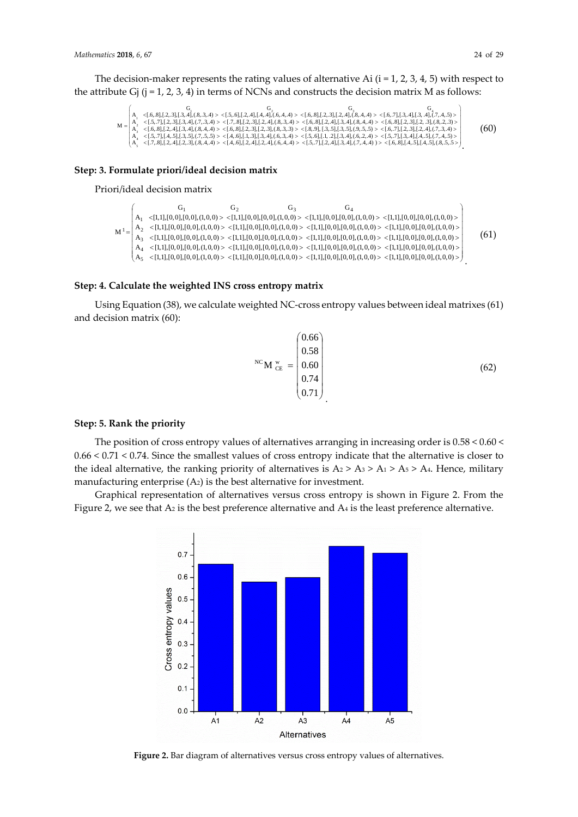The decision-maker represents the rating values of alternative Ai  $(i = 1, 2, 3, 4, 5)$  with respect to the attribute Gj  $(i = 1, 2, 3, 4)$  in terms of NCNs and constructs the decision matrix M as follows:

 $\label{eq:2d1d} \begin{cases} \mathsf{A}_1 & < \left\{ 6, 8 \right\}, \left\{ 2, 3 \right\}, \left\{ 6, 4 \right\}, \left\{ 6, 4 \right\}, \left\{ 6, 4 \right\}, \left\{ 6, 4 \right\}, \left\{ 6, 4 \right\}, \left\{ 6, 4 \right\}, \left\{ 6, 4 \right\}, \left\{ 6, 4 \right\}, \left\{ 6, 4 \right\}, \left\{ 6, 4 \right\}, \left\{ 6, 4 \right\}, \left\{ 6, 4 \right\}, \left\{ 6, 4 \right\}, \$  $A_3^2$ <br> $A_4^4$  $\begin{pmatrix} G_1 & G_2 & G_3 \ G_4 & G_5 & G_6 \end{pmatrix}$  $\left(A_{\frac{1}{2}} \leq [0.7,8], [2,4], [2,3], (8,4,4) > \frac{1}{4}, (6,4,4], [2,4], (6,4,4) > \frac{1}{4}, (5,4], [2,4], [3,4], (7,4,4) > \frac{1}{4}, (6,8], [4,5], [4,5], (8,5,5) \right)$ (60)

# **Step: 3. Formulate priori/ideal decision matrix**

#### Priori/ideal decision matrix

|  | U1 | ∪≙ | U٠ | U, |                                                                                                                                                                                                                                                                                                  |      |
|--|----|----|----|----|--------------------------------------------------------------------------------------------------------------------------------------------------------------------------------------------------------------------------------------------------------------------------------------------------|------|
|  |    |    |    |    | $A_1 \quad \langle [1,1], [0,0], [0,0], (1,0,0) \rangle \quad \langle [1,1], [0,0], [0,0], (1,0,0) \rangle \quad \langle [1,1], [0,0], [0,0], (1,0,0) \rangle \quad \langle [1,1], [0,0], [0,0], (1,0,0) \rangle$                                                                                | (61) |
|  |    |    |    |    | $\left \begin{array}{cc} A_2 < [1,1], [0,0], [0,0], (1,0,0) < [1,1], [0,0], [0,0], (1,0,0) < [1,1], [0,0], [0,0], (1,0,0) < [1,1], [0,0], [0,0], (1,0,0) > \\ A_3 < [1,1], [0,0], [0,0], (1,0,0) < [1,1], [0,0], [0,0], (1,0,0) < [1,1], [0,0], [0,0], (1,0,0) < [1,1], [0,0], [0,0], (1,0,0) &$ |      |
|  |    |    |    |    |                                                                                                                                                                                                                                                                                                  |      |
|  |    |    |    |    | $\mid A_{4}\mid\langle [1,1],[0,0],[0,0],(1,0,0)>\langle [1,1],[0,0],[0,0],(1,0,0)>\langle [1,1],[0,0],[0,0],(1,0,0)>\langle [1,1],[0,0],[0,0],(1,0,0)>\rangle\big $                                                                                                                             |      |
|  |    |    |    |    | $\left\{ \mathrm{A_5~} <\!\!\!\!\!\! [1,1],[0,0],[0,0],(1,0,0) >\!\!\!\!\! <\!\!\!\! [1,1],[0,0],[0,0],(1,0,0) >\!\!\!\!\! <\!\!\!\! [1,1],[0,0],[0,0],(1,0,0) >\!\!\!\! <\!\!\!\! [1,1],[0,0],[0,0],(1,0,0) >\!\!\!\!\! \right\}$                                                               |      |
|  |    |    |    |    |                                                                                                                                                                                                                                                                                                  |      |

#### **Step: 4. Calculate the weighted INS cross entropy matrix**

Using Equation (38), we calculate weighted NC-cross entropy values between ideal matrixes (61) and decision matrix (60):

$$
{}^{NC}M_{CE} = \begin{pmatrix} 0.66 \\ 0.58 \\ 0.60 \\ 0.74 \\ 0.71 \end{pmatrix}
$$
 (62)

# **Step: 5. Rank the priority**

The position of cross entropy values of alternatives arranging in increasing order is 0.58 < 0.60 < 0.66 < 0.71 < 0.74. Since the smallest values of cross entropy indicate that the alternative is closer to the ideal alternative, the ranking priority of alternatives is  $A_2 > A_3 > A_1 > A_5 > A_4$ . Hence, military manufacturing enterprise (A2) is the best alternative for investment.

Graphical representation of alternatives versus cross entropy is shown in Figure 2. From the Figure 2, we see that A<sub>2</sub> is the best preference alternative and A<sub>4</sub> is the least preference alternative.



**Figure 2.** Bar diagram of alternatives versus cross entropy values of alternatives.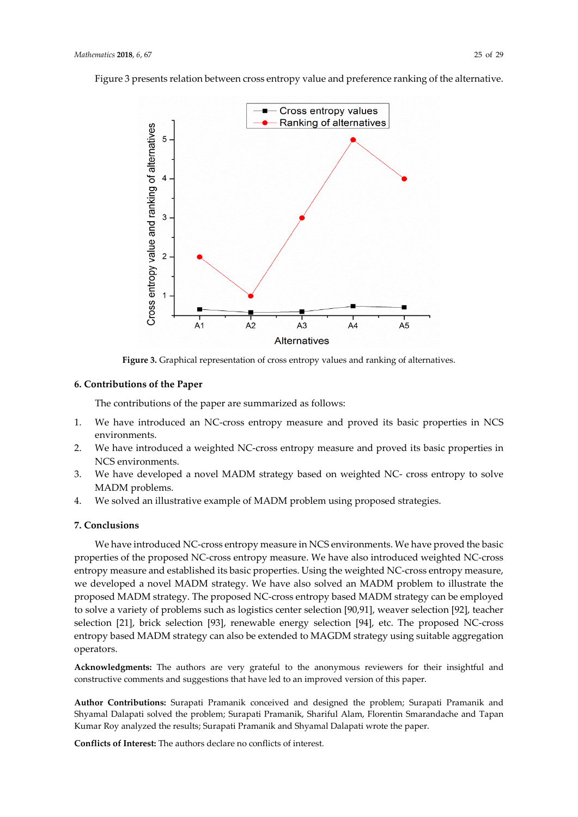Figure 3 presents relation between cross entropy value and preference ranking of the alternative.



**Figure 3.** Graphical representation of cross entropy values and ranking of alternatives.

#### **6. Contributions of the Paper**

The contributions of the paper are summarized as follows:

- 1. We have introduced an NC-cross entropy measure and proved its basic properties in NCS environments.
- 2. We have introduced a weighted NC-cross entropy measure and proved its basic properties in NCS environments.
- 3. We have developed a novel MADM strategy based on weighted NC- cross entropy to solve MADM problems.
- 4. We solved an illustrative example of MADM problem using proposed strategies.

# **7. Conclusions**

We have introduced NC-cross entropy measure in NCS environments. We have proved the basic properties of the proposed NC-cross entropy measure. We have also introduced weighted NC-cross entropy measure and established its basic properties. Using the weighted NC-cross entropy measure, we developed a novel MADM strategy. We have also solved an MADM problem to illustrate the proposed MADM strategy. The proposed NC-cross entropy based MADM strategy can be employed to solve a variety of problems such as logistics center selection [90,91], weaver selection [92], teacher selection [21], brick selection [93], renewable energy selection [94], etc. The proposed NC-cross entropy based MADM strategy can also be extended to MAGDM strategy using suitable aggregation operators.

**Acknowledgments:** The authors are very grateful to the anonymous reviewers for their insightful and constructive comments and suggestions that have led to an improved version of this paper.

**Author Contributions:** Surapati Pramanik conceived and designed the problem; Surapati Pramanik and Shyamal Dalapati solved the problem; Surapati Pramanik, Shariful Alam, Florentin Smarandache and Tapan Kumar Roy analyzed the results; Surapati Pramanik and Shyamal Dalapati wrote the paper.

**Conflicts of Interest:** The authors declare no conflicts of interest.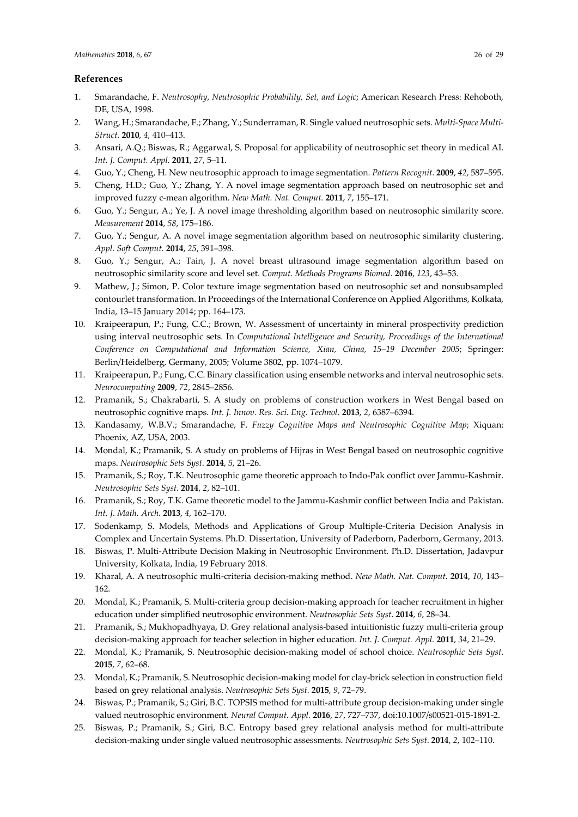# **References**

- 1. Smarandache, F. *Neutrosophy, Neutrosophic Probability, Set, and Logic*; American Research Press: Rehoboth, DE, USA, 1998.
- 2. Wang, H.; Smarandache, F.; Zhang, Y.; Sunderraman, R. Single valued neutrosophic sets. *Multi-Space Multi-Struct.* **2010**, *4*, 410–413.
- 3. Ansari, A.Q.; Biswas, R.; Aggarwal, S. Proposal for applicability of neutrosophic set theory in medical AI. *Int. J. Comput. Appl.* **2011**, *27*, 5–11.
- 4. Guo, Y.; Cheng, H. New neutrosophic approach to image segmentation. *Pattern Recognit*. **2009**, *42*, 587–595.
- 5. Cheng, H.D.; Guo, Y.; Zhang, Y. A novel image segmentation approach based on neutrosophic set and improved fuzzy c-mean algorithm. *New Math. Nat. Comput.* **2011**, *7*, 155–171.
- 6. Guo, Y.; Sengur, A.; Ye, J. A novel image thresholding algorithm based on neutrosophic similarity score. *Measurement* **2014**, *58*, 175–186.
- 7. Guo, Y.; Sengur, A. A novel image segmentation algorithm based on neutrosophic similarity clustering. *Appl. Soft Comput.* **2014**, *25*, 391–398.
- 8. Guo, Y.; Sengur, A.; Tain, J. A novel breast ultrasound image segmentation algorithm based on neutrosophic similarity score and level set. *Comput. Methods Programs Biomed.* **2016**, *123*, 43–53.
- 9. Mathew, J.; Simon, P. Color texture image segmentation based on neutrosophic set and nonsubsampled contourlet transformation. In Proceedings of the International Conference on Applied Algorithms, Kolkata, India, 13–15 January 2014; pp. 164–173.
- 10. Kraipeerapun, P.; Fung, C.C.; Brown, W. Assessment of uncertainty in mineral prospectivity prediction using interval neutrosophic sets. In *Computational Intelligence and Security, Proceedings of the International Conference on Computational and Information Science, Xian, China, 15–19 December 2005*; Springer: Berlin/Heidelberg, Germany, 2005; Volume 3802, pp. 1074–1079.
- 11. Kraipeerapun, P.; Fung, C.C. Binary classification using ensemble networks and interval neutrosophic sets. *Neurocomputing* **2009**, *72*, 2845–2856.
- 12. Pramanik, S.; Chakrabarti, S. A study on problems of construction workers in West Bengal based on neutrosophic cognitive maps. *Int. J. Innov. Res. Sci. Eng. Technol*. **2013**, *2*, 6387–6394.
- 13. Kandasamy, W.B.V.; Smarandache, F. *[Fuzzy Cognitive Maps and Neutrosophic Cognitive Map](http://books.google.com/books?hl=en&lr=&id=1VrzAAAAQBAJ&oi=fnd&pg=PA5&dq=info:OLxe-7ITTT4J:scholar.google.com&ots=1_HkMzl8qm&sig=dlyU_QqqHhFh9NHTnFsmskejPPE)*; Xiquan: [Phoenix, AZ, USA, 2003.](http://books.google.com/books?hl=en&lr=&id=1VrzAAAAQBAJ&oi=fnd&pg=PA5&dq=info:OLxe-7ITTT4J:scholar.google.com&ots=1_HkMzl8qm&sig=dlyU_QqqHhFh9NHTnFsmskejPPE)
- 14. Mondal, K.; Pramanik, S. A study on problems of Hijras in West Bengal based on neutrosophic cognitive maps. *Neutrosophic Sets Syst*. **2014**, *5*, 21–26.
- 15. Pramanik, S.; Roy, T.K. Neutrosophic game theoretic approach to Indo-Pak conflict over Jammu-Kashmir. *Neutrosophic Sets Syst.* **2014**, *2*, 82–101.
- 16. Pramanik, S.; Roy, T.K. Game theoretic model to the Jammu-Kashmir conflict between India and Pakistan. *Int. J. Math. Arch.* **2013**, *4*, 162–170.
- 17. Sodenkamp, S. Models, Methods and Applications of Group Multiple-Criteria Decision Analysis in Complex and Uncertain Systems. Ph.D. Dissertation, University of Paderborn, Paderborn, Germany, 2013.
- 18. Biswas, P. Multi-Attribute Decision Making in Neutrosophic Environment. Ph.D. Dissertation, Jadavpur University, Kolkata, India, 19 February 2018.
- 19. Kharal, A. A neutrosophic multi-criteria decision-making method. *New Math. Nat. Comput*. **2014**, *10*, 143– 162.
- 20. Mondal, K.; Pramanik, S. Multi-criteria group decision-making approach for teacher recruitment in higher education under simplified neutrosophic environment. *Neutrosophic Sets Syst*. **2014**, *6*, 28–34.
- 21. Pramanik, S.; Mukhopadhyaya, D. Grey relational analysis-based intuitionistic fuzzy multi-criteria group decision-making approach for teacher selection in higher education. *Int. J. Comput. Appl.* **2011**, *34*, 21–29.
- 22. Mondal, K.; Pramanik, S. Neutrosophic decision-making model of school choice. *Neutrosophic Sets Syst*. **2015**, *7*, 62–68.
- 23. [Mondal,](https://www.researchgate.net/profile/Kalyan_Mondal5?_sg=eL3EBGSKgQGW_YF97LKwtfKwwVkkic9f7rnBYnamqzl0pp3lumInbYMDnZfrfdJDnXoz8pw.tH_6lGXnPqsRu_dcLizYR60ma5HvuACNkz3wd7w5byRzxyzpERrI5tFou7IzKl9uS0Qqx53GlzUSlBohiEPNvw) K.; [Pramanik,](https://www.researchgate.net/profile/Surapati_Pramanik?_sg=eL3EBGSKgQGW_YF97LKwtfKwwVkkic9f7rnBYnamqzl0pp3lumInbYMDnZfrfdJDnXoz8pw.tH_6lGXnPqsRu_dcLizYR60ma5HvuACNkz3wd7w5byRzxyzpERrI5tFou7IzKl9uS0Qqx53GlzUSlBohiEPNvw) S. Neutrosophic decision-making model for clay-brick selection in construction field based on grey relational analysis. *Neutrosophic Sets Syst.* **2015**, *9*, 72–79.
- 24. Biswas, P.; Pramanik, S.; Giri, B.C. TOPSIS method for multi-attribute group decision-making under single valued neutrosophic environment. *Neural Comput. Appl.* **2016**, *27*, 727–737, doi:10.1007/s00521-015-1891-2.
- 25. Biswas, P.; Pramanik, S.; Giri, B.C. Entropy based grey relational analysis method for multi-attribute decision-making under single valued neutrosophic assessments. *Neutrosophic Sets Syst*. **2014**, *2*, 102–110.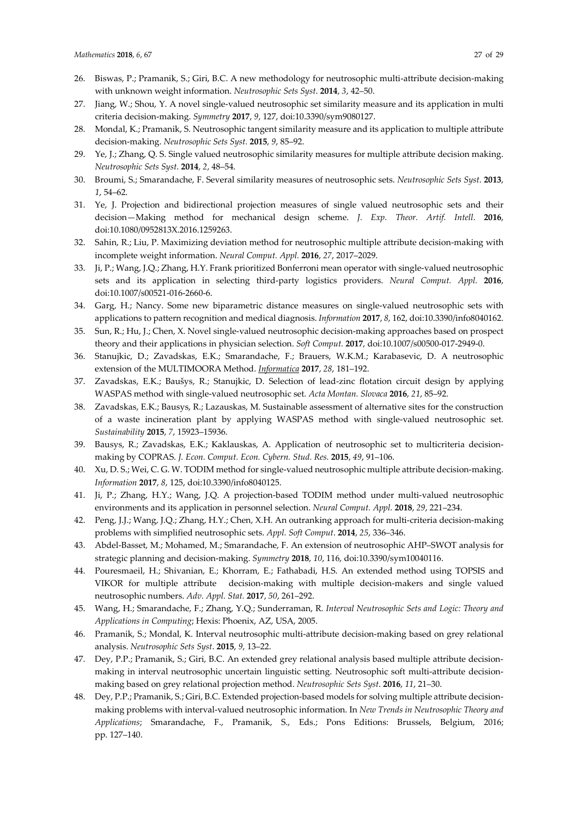- 26. Biswas, P.; Pramanik, S.; Giri, B.C. A new methodology for neutrosophic multi-attribute decision-making with unknown weight information. *Neutrosophic Sets Syst*. **2014**, *3*, 42–50.
- 27. Jiang, W.; Shou, Y. A novel single-valued neutrosophic set similarity measure and its application in multi criteria decision-making. *Symmetry* **2017**, *9*, 127, doi[:10.3390/sym9080127.](http://dx.doi.org/10.3390/sym9080127)
- 28. Mondal, K.; Pramanik, S. Neutrosophic tangent similarity measure and its application to multiple attribute decision-making. *Neutrosophic Sets Syst.* **2015**, *9*, 85–92.
- 29. Ye, J.; Zhang, Q. S. Single valued neutrosophic similarity measures for multiple attribute decision making. *Neutrosophic Sets Syst*. **2014**, *2*, 48–54.
- 30. Broumi, S.; Smarandache, F. Several similarity measures of neutrosophic sets. *Neutrosophic Sets Syst*. **2013**, *1*, 54–62.
- 31. Ye, J. Projection and bidirectional projection measures of single valued neutrosophic sets and their decision—Making method for mechanical design scheme. *J. Exp. Theor. Artif. Intell*. **2016**, doi:10.1080/0952813X.2016.1259263.
- 32. Sahin, R.; Liu, P. [Maximizing deviation method for neutrosophic multiple attribute decision-making](javascript:void(0)) with [incomplete weight information.](javascript:void(0)) *Neural Comput. Appl.* **2016**, *27*, 2017–2029.
- 33. Ji, P.; Wang, J.Q.; Zhang, H.Y. Frank prioritized Bonferroni mean operator with single-valued neutrosophic sets and its application in selecting third-party logistics providers. *Neural Comput. Appl.* **2016**, doi:10.1007/s00521-016-2660-6.
- 34. Garg, H.; Nancy. Some new biparametric distance measures on single-valued neutrosophic sets with applications to pattern recognition and medical diagnosis. *Information* **2017**, *8*, 162, doi:10.3390/info8040162.
- 35. Sun, R.; Hu, J.; Chen, X. Novel single-valued neutrosophic decision-making approaches based on prospect theory and their applications in physician selection. *Soft Comput.* **2017**, doi:10.1007/s00500-017-2949-0.
- 36. [Stanujkic, D.;](https://content.iospress.com/search?q=author%3A%28%22Stanujkic,%20Dragisa%22%29) [Zavadskas, E.K.;](https://content.iospress.com/search?q=author%3A%28%22Zavadskas,%20Edmundas%20Kazimieras%22%29) [Smarandache, F.;](https://content.iospress.com/search?q=author%3A%28%22Smarandache,%20Florentin%22%29) [Brauers, W.K.M.;](https://content.iospress.com/search?q=author%3A%28%22Brauers,%20Willem%20K.M.%22%29) [Karabasevic, D.](https://content.iospress.com/search?q=author%3A%28%22Karabasevic,%20Darjan%22%29) A neutrosophic extension of the MULTIMOORA Method. *[Informatica](https://content.iospress.com/journals/informatica)* **2017**, *28*, 181–192.
- 37. Zavadskas, E.K.; Baušys, R.; Stanujkic, D. Selection of lead-zinc flotation circuit design by applying WASPAS method with single-valued neutrosophic set. *Acta Montan. Slovaca* **2016**, *21*, 85–92.
- 38. Zavadskas, E.K.; Bausys, R.; Lazauskas, M. Sustainable assessment of alternative sites for the construction of a waste incineration plant by applying WASPAS method with single-valued neutrosophic set. *Sustainability* **2015**, *7*, 15923–15936.
- 39. Bausys, R.; Zavadskas, E.K.; Kaklauskas, A. Application of neutrosophic set to multicriteria decisionmaking by COPRAS. *J. Econ. Comput. Econ. Cybern. Stud. Res.* **2015**, *49*, 91–106.
- 40. Xu, D. S.; Wei, C. G. W. TODIM method for single-valued neutrosophic multiple attribute decision-making. *Information* **2017**, *8*, 125, do[i:10.3390/info8040125.](http://dx.doi.org/10.3390/info8040125)
- 41. Ji, P.; Zhang, H.Y.; Wang, J.Q. A projection-based TODIM method under multi-valued neutrosophic environments and its application in personnel selection. *Neural Comput. Appl.* **2018**, *29*, 221–234.
- 42. Peng, J.J.; Wang, J.Q.; Zhang, H.Y.; Chen, X.H. An outranking approach for multi-criteria decision-making problems with simplified neutrosophic sets. *Appl. Soft Comput*. **2014**, *25*, 336–346.
- 43. Abdel-Basset, M.; Mohamed, M.; Smarandache, F[. An extension of neutrosophic AHP–SWOT analysis for](javascript:void(0))  [strategic planning and decision-making.](javascript:void(0)) *Symmetry* **2018**, *10*, 116, do[i:10.3390/sym10040116.](https://doi.org/10.3390/sym10040116)
- 44. Pouresmaeil, H.; Shivanian, E.; Khorram, E.; Fathabadi, H.S. An extended method using TOPSIS and VIKOR for multiple attribute decision-making with multiple decision-makers and single valued neutrosophic numbers. *Adv. Appl. Stat.* **2017**, *50*, 261–292.
- 45. Wang, H.; Smarandache, F.; Zhang, Y.Q.; Sunderraman, R. *Interval Neutrosophic Sets and Logic: Theory and Applications in Computing*; Hexis: Phoenix, AZ, USA, 2005.
- 46. Pramanik, S.; Mondal, K. Interval neutrosophic multi-attribute decision-making based on grey relational analysis. *Neutrosophic Sets Syst*. **2015**, *9*, 13–22.
- 47. Dey, P.P.; Pramanik, S.; Giri, B.C. An extended grey relational analysis based multiple attribute decisionmaking in interval neutrosophic uncertain linguistic setting. Neutrosophic soft multi-attribute decisionmaking based on grey relational projection method. *Neutrosophic Sets Syst*. **2016**, *11*, 21–30.
- 48. Dey, P.P.; Pramanik, S.; Giri, B.C. Extended projection-based models for solving multiple attribute decisionmaking problems with interval-valued neutrosophic information. In *New Trends in Neutrosophic Theory and Applications*; Smarandache, F., Pramanik, S., Eds.; Pons Editions: Brussels, Belgium, 2016; pp. 127–140.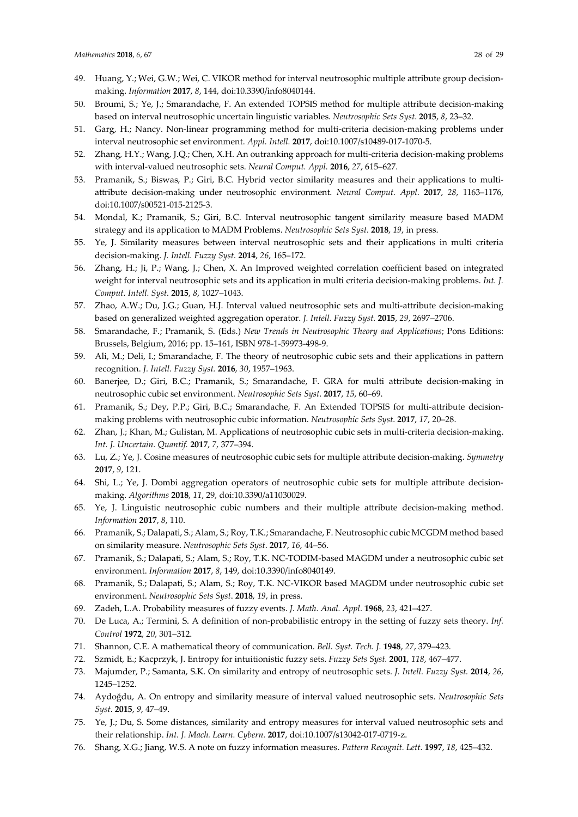- 49. Huang, Y.; Wei, G.W.; Wei, C. VIKOR method for interval neutrosophic multiple attribute group decisionmaking. *Information* **2017**, *8*, 144, doi:10.3390/info8040144.
- 50. Broumi, S.; Ye, J.; Smarandache, F. An extended TOPSIS method for multiple attribute decision-making based on interval neutrosophic uncertain linguistic variables. *Neutrosophic Sets Syst*. **2015**, *8*, 23–32.
- 51. Garg, H.; Nancy. Non-linear programming method for multi-criteria decision-making problems under interval neutrosophic set environment. *Appl. Intell.* **2017**, doi:10.1007/s10489-017-1070-5.
- 52. Zhang, H.Y.; Wang, J.Q.; Chen, X.H. An outranking approach for multi-criteria decision-making problems with interval-valued neutrosophic sets. *Neural Comput. Appl.* **2016**, *27*, 615–627.
- 53. Pramanik, S.; Biswas, P.; Giri, B.C. Hybrid vector similarity measures and their applications to multiattribute decision-making under neutrosophic environment. *Neural Comput*. *Appl*. **2017**, *28*, 1163–1176, doi:10.1007/s00521-015-2125-3.
- 54. Mondal, K.; Pramanik, S.; Giri, B.C. Interval neutrosophic tangent similarity measure based MADM strategy and its application to MADM Problems. *Neutrosophic Sets Syst*. **2018**, *19*, in press.
- 55. Ye, J. Similarity measures between interval neutrosophic sets and their applications in multi criteria decision-making. *J. Intell. Fuzzy Syst.* **2014**, *26*, 165–172.
- 56. Zhang, H.; Ji, P.; Wang, J.; Chen, X. An Improved weighted correlation coefficient based on integrated weight for interval neutrosophic sets and its application in multi criteria decision-making problems. *Int. J. Comput. Intell. Syst*. **2015**, *8*, 1027–1043.
- 57. Zhao, A.W.; Du, J.G.; Guan, H.J. Interval valued neutrosophic sets and multi-attribute decision-making based on generalized weighted aggregation operator. *J. Intell. Fuzzy Syst.* **2015**, *29*, 2697–2706.
- 58. Smarandache, F.; Pramanik, S. (Eds.) *New Trends in Neutrosophic Theory and Applications*; Pons Editions: Brussels, Belgium, 2016; pp. 15–161, ISBN 978-1-59973-498-9.
- 59. Ali, M.; Deli, I.; Smarandache, F. The theory of neutrosophic cubic sets and their applications in pattern recognition. *J. Intell. Fuzzy Syst.* **2016**, *30*, 1957–1963.
- 60. Banerjee, D.; Giri, B.C.; Pramanik, S.; Smarandache, F. GRA for multi attribute decision-making in neutrosophic cubic set environment. *Neutrosophic Sets Syst*. **2017**, *15*, 60–69.
- 61. Pramanik, S.; Dey, P.P.; Giri, B.C.; Smarandache, F. An Extended TOPSIS for multi-attribute decisionmaking problems with neutrosophic cubic information. *Neutrosophic Sets Syst*. **2017**, *17*, 20–28.
- 62. Zhan, J.; Khan, M.; Gulistan, M. Applications of neutrosophic cubic sets in multi-criteria decision-making. *Int. J. Uncertain. Quantif.* **2017**, *7*, 377–394.
- 63. Lu, Z.; Ye, J. Cosine measures of neutrosophic cubic sets for multiple attribute decision-making. *Symmetry* **2017**, *9*, 121.
- 64. Shi, L.; Ye, J. [Dombi aggregation operators of neutrosophic cubic sets for multiple attribute decision](http://www.mdpi.com/1999-4893/11/3/29)[making.](http://www.mdpi.com/1999-4893/11/3/29) *Algorithms* **2018**, *11*, 29, doi[:10.3390/a11030029.](https://doi.org/10.3390/a11030029)
- 65. Ye, J. Linguistic neutrosophic cubic numbers and their multiple attribute decision-making method. *Information* **2017**, *8*, 110.
- 66. Pramanik, S.; Dalapati, S.; Alam, S.; Roy, T.K.; Smarandache, F. Neutrosophic cubic MCGDM method based on similarity measure. *Neutrosophic Sets Syst*. **2017**, *16*, 44–56.
- 67. Pramanik, S.; Dalapati, S.; Alam, S.; Roy, T.K. NC-TODIM-based MAGDM under a neutrosophic cubic set environment. *Information* **2017**, *8*, 149, doi:10.3390/info8040149.
- 68. Pramanik, S.; Dalapati, S.; Alam, S.; Roy, T.K. NC-VIKOR based MAGDM under neutrosophic cubic set environment. *Neutrosophic Sets Syst*. **2018**, *19*, in press.
- 69. Zadeh, L.A. Probability measures of fuzzy events. *J. Math. Anal. Appl*. **1968**, *23*, 421–427.
- 70. De Luca, A.; Termini, S. A definition of non-probabilistic entropy in the setting of fuzzy sets theory. *Inf. Control* **1972**, *20*, 301–312.
- 71. Shannon, C.E. A mathematical theory of communication. *Bell. Syst. Tech. J.* **1948**, *27*, 379–423.
- 72. Szmidt, E.; Kacprzyk, J. Entropy for intuitionistic fuzzy sets. *Fuzzy Sets Syst.* **2001**, *118*, 467–477.
- 73. Majumder, P.; Samanta, S.K. On similarity and entropy of neutrosophic sets. *J. Intell. Fuzzy Syst.* **2014**, *26*, 1245–1252.
- 74. Aydoğdu, A. On entropy and similarity measure of interval valued neutrosophic sets. *Neutrosophic Sets Syst*. **2015**, *9*, 47–49.
- 75. Ye, J.; Du, S. Some distances, similarity and entropy measures for interval valued neutrosophic sets and their relationship. *Int. J. Mach. Learn. Cybern.* **2017**, doi:10.1007/s13042-017-0719-z.
- 76. Shang, X.G.; Jiang, W.S. A note on fuzzy information measures. *Pattern Recognit. Lett.* **1997**, *18*, 425–432.